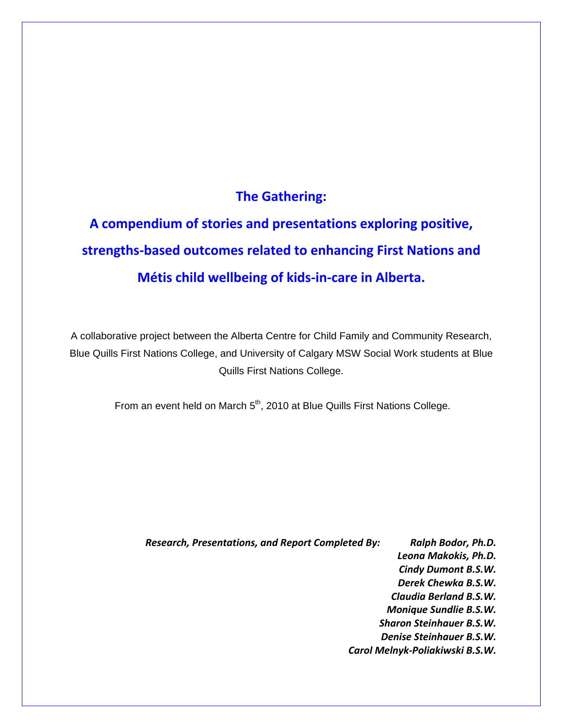# **The Gathering:**

**A compendium of stories and presentations exploring positive, strengths‐based outcomes related to enhancing First Nations and Métis child wellbeing of kids‐in‐care in Alberta.** 

A collaborative project between the Alberta Centre for Child Family and Community Research, Blue Quills First Nations College, and University of Calgary MSW Social Work students at Blue Quills First Nations College.

From an event held on March 5<sup>th</sup>, 2010 at Blue Quills First Nations College.

*Research, Presentations, and Report Completed By: Ralph Bodor, Ph.D.*

*Leona Makokis, Ph.D. Cindy Dumont B.S.W. Derek Chewka B.S.W. Claudia Berland B.S.W. Monique Sundlie B.S.W. Sharon Steinhauer B.S.W. Denise Steinhauer B.S.W. Carol Melnyk‐Poliakiwski B.S.W.*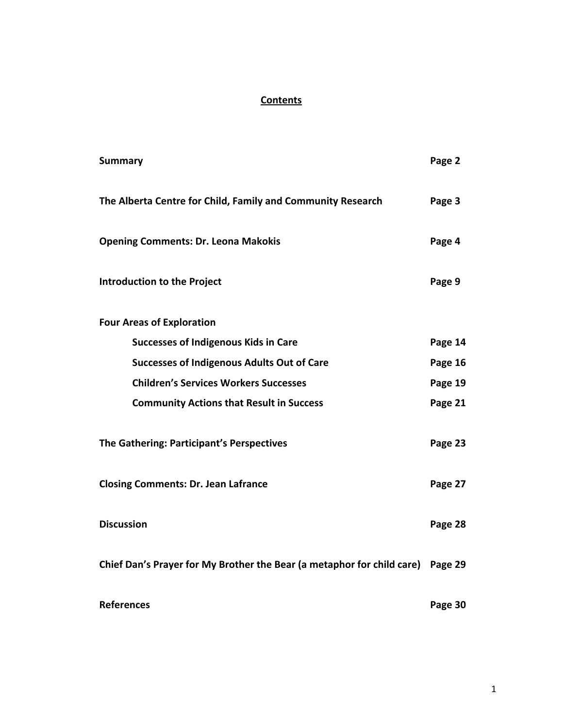# **Contents**

| <b>Summary</b>                                                                 | Page 2  |
|--------------------------------------------------------------------------------|---------|
| The Alberta Centre for Child, Family and Community Research                    | Page 3  |
| <b>Opening Comments: Dr. Leona Makokis</b>                                     | Page 4  |
| <b>Introduction to the Project</b>                                             | Page 9  |
| <b>Four Areas of Exploration</b>                                               |         |
| <b>Successes of Indigenous Kids in Care</b>                                    | Page 14 |
| <b>Successes of Indigenous Adults Out of Care</b>                              | Page 16 |
| <b>Children's Services Workers Successes</b>                                   | Page 19 |
| <b>Community Actions that Result in Success</b>                                | Page 21 |
| The Gathering: Participant's Perspectives                                      | Page 23 |
| <b>Closing Comments: Dr. Jean Lafrance</b>                                     | Page 27 |
| <b>Discussion</b>                                                              | Page 28 |
| Chief Dan's Prayer for My Brother the Bear (a metaphor for child care) Page 29 |         |
| <b>References</b>                                                              | Page 30 |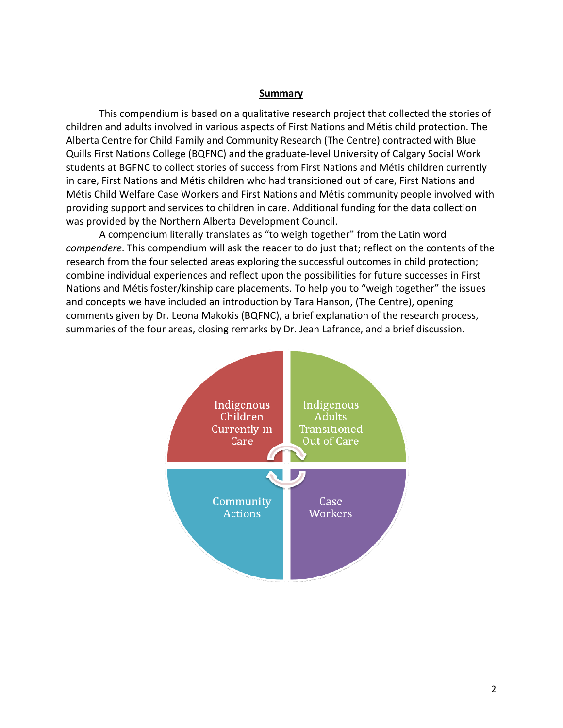#### **Summary**

This compendium is based on a qualitative research project that collected the stories of children and adults involved in various aspects of First Nations and Métis child protection. The Alberta Centre for Child Family and Community Research (The Centre) contracted with Blue Quills First Nations College (BQFNC) and the graduate‐level University of Calgary Social Work students at BGFNC to collect stories of success from First Nations and Métis children currently in care, First Nations and Métis children who had transitioned out of care, First Nations and Métis Child Welfare Case Workers and First Nations and Métis community people involved with providing support and services to children in care. Additional funding for the data collection was provided by the Northern Alberta Development Council.

A compendium literally translates as "to weigh together" from the Latin word *compendere*. This compendium will ask the reader to do just that; reflect on the contents of the research from the four selected areas exploring the successful outcomes in child protection; combine individual experiences and reflect upon the possibilities for future successes in First Nations and Métis foster/kinship care placements. To help you to "weigh together" the issues and concepts we have included an introduction by Tara Hanson, (The Centre), opening comments given by Dr. Leona Makokis (BQFNC), a brief explanation of the research process, summaries of the four areas, closing remarks by Dr. Jean Lafrance, and a brief discussion.

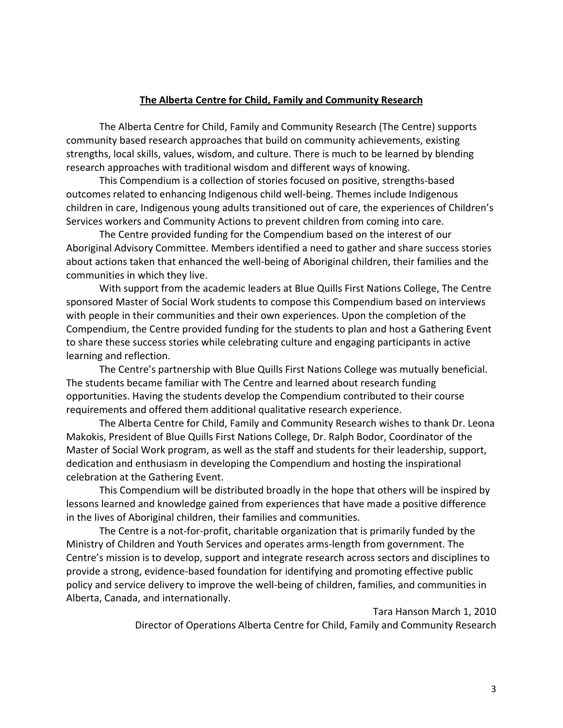#### **The Alberta Centre for Child, Family and Community Research**

The Alberta Centre for Child, Family and Community Research (The Centre) supports community based research approaches that build on community achievements, existing strengths, local skills, values, wisdom, and culture. There is much to be learned by blending research approaches with traditional wisdom and different ways of knowing.

This Compendium is a collection of stories focused on positive, strengths‐based outcomes related to enhancing Indigenous child well‐being. Themes include Indigenous children in care, Indigenous young adults transitioned out of care, the experiences of Children's Services workers and Community Actions to prevent children from coming into care.

The Centre provided funding for the Compendium based on the interest of our Aboriginal Advisory Committee. Members identified a need to gather and share success stories about actions taken that enhanced the well‐being of Aboriginal children, their families and the communities in which they live.

With support from the academic leaders at Blue Quills First Nations College, The Centre sponsored Master of Social Work students to compose this Compendium based on interviews with people in their communities and their own experiences. Upon the completion of the Compendium, the Centre provided funding for the students to plan and host a Gathering Event to share these success stories while celebrating culture and engaging participants in active learning and reflection.

The Centre's partnership with Blue Quills First Nations College was mutually beneficial. The students became familiar with The Centre and learned about research funding opportunities. Having the students develop the Compendium contributed to their course requirements and offered them additional qualitative research experience.

The Alberta Centre for Child, Family and Community Research wishes to thank Dr. Leona Makokis, President of Blue Quills First Nations College, Dr. Ralph Bodor, Coordinator of the Master of Social Work program, as well as the staff and students for their leadership, support, dedication and enthusiasm in developing the Compendium and hosting the inspirational celebration at the Gathering Event.

This Compendium will be distributed broadly in the hope that others will be inspired by lessons learned and knowledge gained from experiences that have made a positive difference in the lives of Aboriginal children, their families and communities.

The Centre is a not-for-profit, charitable organization that is primarily funded by the Ministry of Children and Youth Services and operates arms‐length from government. The Centre's mission is to develop, support and integrate research across sectors and disciplines to provide a strong, evidence‐based foundation for identifying and promoting effective public policy and service delivery to improve the well‐being of children, families, and communities in Alberta, Canada, and internationally.

Tara Hanson March 1, 2010

Director of Operations Alberta Centre for Child, Family and Community Research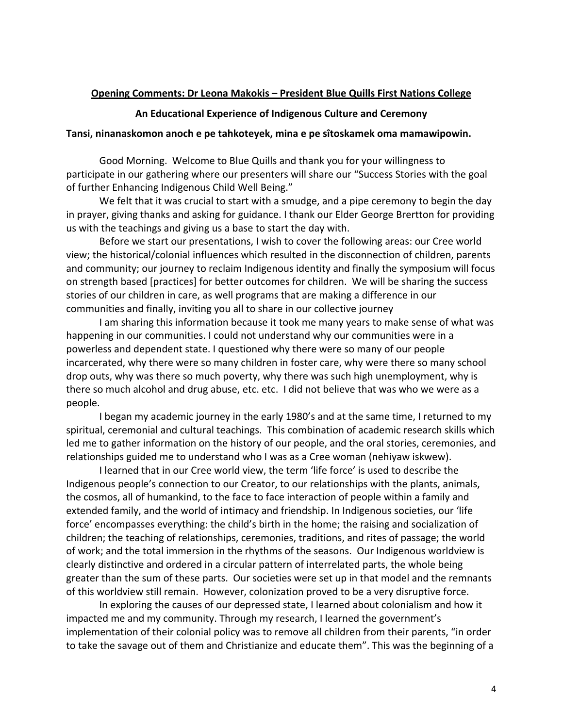## **Opening Comments: Dr Leona Makokis – President Blue Quills First Nations College**

## **An Educational Experience of Indigenous Culture and Ceremony**

### **Tansi, ninanaskomon anoch e pe tahkoteyek, mina e pe sîtoskamek oma mamawipowin.**

 Good Morning. Welcome to Blue Quills and thank you for your willingness to participate in our gathering where our presenters will share our "Success Stories with the goal of further Enhancing Indigenous Child Well Being."

We felt that it was crucial to start with a smudge, and a pipe ceremony to begin the day in prayer, giving thanks and asking for guidance. I thank our Elder George Brertton for providing us with the teachings and giving us a base to start the day with.

Before we start our presentations, I wish to cover the following areas: our Cree world view; the historical/colonial influences which resulted in the disconnection of children, parents and community; our journey to reclaim Indigenous identity and finally the symposium will focus on strength based [practices] for better outcomes for children. We will be sharing the success stories of our children in care, as well programs that are making a difference in our communities and finally, inviting you all to share in our collective journey

I am sharing this information because it took me many years to make sense of what was happening in our communities. I could not understand why our communities were in a powerless and dependent state. I questioned why there were so many of our people incarcerated, why there were so many children in foster care, why were there so many school drop outs, why was there so much poverty, why there was such high unemployment, why is there so much alcohol and drug abuse, etc. etc. I did not believe that was who we were as a people.

I began my academic journey in the early 1980's and at the same time, I returned to my spiritual, ceremonial and cultural teachings. This combination of academic research skills which led me to gather information on the history of our people, and the oral stories, ceremonies, and relationships guided me to understand who I was as a Cree woman (nehiyaw iskwew).

I learned that in our Cree world view, the term 'life force' is used to describe the Indigenous people's connection to our Creator, to our relationships with the plants, animals, the cosmos, all of humankind, to the face to face interaction of people within a family and extended family, and the world of intimacy and friendship. In Indigenous societies, our 'life force' encompasses everything: the child's birth in the home; the raising and socialization of children; the teaching of relationships, ceremonies, traditions, and rites of passage; the world of work; and the total immersion in the rhythms of the seasons. Our Indigenous worldview is clearly distinctive and ordered in a circular pattern of interrelated parts, the whole being greater than the sum of these parts. Our societies were set up in that model and the remnants of this worldview still remain. However, colonization proved to be a very disruptive force.

In exploring the causes of our depressed state, I learned about colonialism and how it impacted me and my community. Through my research, I learned the government's implementation of their colonial policy was to remove all children from their parents, "in order to take the savage out of them and Christianize and educate them". This was the beginning of a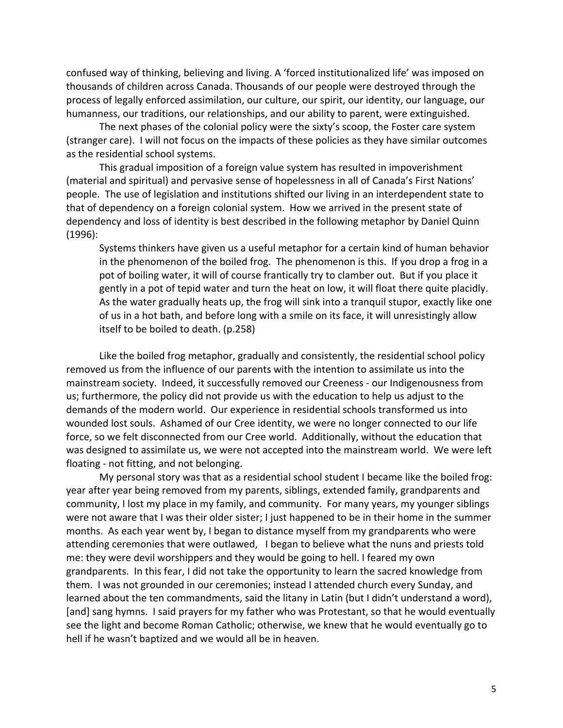confused way of thinking, believing and living. A 'forced institutionalized life' was imposed on thousands of children across Canada. Thousands of our people were destroyed through the process of legally enforced assimilation, our culture, our spirit, our identity, our language, our humanness, our traditions, our relationships, and our ability to parent, were extinguished.

The next phases of the colonial policy were the sixty's scoop, the Foster care system (stranger care). I will not focus on the impacts of these policies as they have similar outcomes as the residential school systems.

This gradual imposition of a foreign value system has resulted in impoverishment (material and spiritual) and pervasive sense of hopelessness in all of Canada's First Nations' people. The use of legislation and institutions shifted our living in an interdependent state to that of dependency on a foreign colonial system. How we arrived in the present state of dependency and loss of identity is best described in the following metaphor by Daniel Quinn (1996):

Systems thinkers have given us a useful metaphor for a certain kind of human behavior in the phenomenon of the boiled frog. The phenomenon is this. If you drop a frog in a pot of boiling water, it will of course frantically try to clamber out. But if you place it gently in a pot of tepid water and turn the heat on low, it will float there quite placidly. As the water gradually heats up, the frog will sink into a tranquil stupor, exactly like one of us in a hot bath, and before long with a smile on its face, it will unresistingly allow itself to be boiled to death. (p.258)

Like the boiled frog metaphor, gradually and consistently, the residential school policy removed us from the influence of our parents with the intention to assimilate us into the mainstream society. Indeed, it successfully removed our Creeness ‐ our Indigenousness from us; furthermore, the policy did not provide us with the education to help us adjust to the demands of the modern world. Our experience in residential schools transformed us into wounded lost souls. Ashamed of our Cree identity, we were no longer connected to our life force, so we felt disconnected from our Cree world. Additionally, without the education that was designed to assimilate us, we were not accepted into the mainstream world. We were left floating ‐ not fitting, and not belonging.

My personal story was that as a residential school student I became like the boiled frog: year after year being removed from my parents, siblings, extended family, grandparents and community, I lost my place in my family, and community. For many years, my younger siblings were not aware that I was their older sister; I just happened to be in their home in the summer months. As each year went by, I began to distance myself from my grandparents who were attending ceremonies that were outlawed, I began to believe what the nuns and priests told me: they were devil worshippers and they would be going to hell. I feared my own grandparents. In this fear, I did not take the opportunity to learn the sacred knowledge from them. I was not grounded in our ceremonies; instead I attended church every Sunday, and learned about the ten commandments, said the litany in Latin (but I didn't understand a word), [and] sang hymns. I said prayers for my father who was Protestant, so that he would eventually see the light and become Roman Catholic; otherwise, we knew that he would eventually go to hell if he wasn't baptized and we would all be in heaven.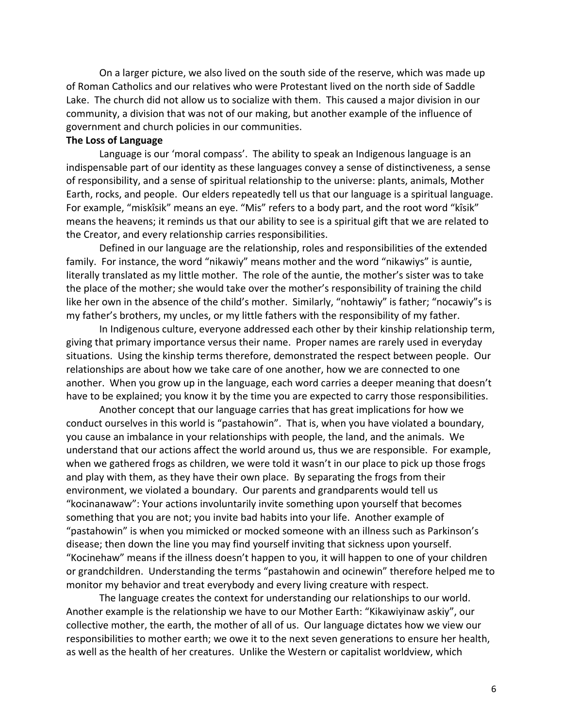On a larger picture, we also lived on the south side of the reserve, which was made up of Roman Catholics and our relatives who were Protestant lived on the north side of Saddle Lake. The church did not allow us to socialize with them. This caused a major division in our community, a division that was not of our making, but another example of the influence of government and church policies in our communities.

#### **The Loss of Language**

Language is our 'moral compass'. The ability to speak an Indigenous language is an indispensable part of our identity as these languages convey a sense of distinctiveness, a sense of responsibility, and a sense of spiritual relationship to the universe: plants, animals, Mother Earth, rocks, and people. Our elders repeatedly tell us that our language is a spiritual language. For example, "miskîsik" means an eye. "Mis" refers to a body part, and the root word "kîsik" means the heavens; it reminds us that our ability to see is a spiritual gift that we are related to the Creator, and every relationship carries responsibilities.

Defined in our language are the relationship, roles and responsibilities of the extended family. For instance, the word "nikawiy" means mother and the word "nikawiys" is auntie, literally translated as my little mother. The role of the auntie, the mother's sister was to take the place of the mother; she would take over the mother's responsibility of training the child like her own in the absence of the child's mother. Similarly, "nohtawiy" is father; "nocawiy"s is my father's brothers, my uncles, or my little fathers with the responsibility of my father.

In Indigenous culture, everyone addressed each other by their kinship relationship term, giving that primary importance versus their name. Proper names are rarely used in everyday situations. Using the kinship terms therefore, demonstrated the respect between people. Our relationships are about how we take care of one another, how we are connected to one another. When you grow up in the language, each word carries a deeper meaning that doesn't have to be explained; you know it by the time you are expected to carry those responsibilities.

Another concept that our language carries that has great implications for how we conduct ourselves in this world is "pastahowin". That is, when you have violated a boundary, you cause an imbalance in your relationships with people, the land, and the animals. We understand that our actions affect the world around us, thus we are responsible. For example, when we gathered frogs as children, we were told it wasn't in our place to pick up those frogs and play with them, as they have their own place. By separating the frogs from their environment, we violated a boundary. Our parents and grandparents would tell us "kocinanawaw": Your actions involuntarily invite something upon yourself that becomes something that you are not; you invite bad habits into your life. Another example of "pastahowin" is when you mimicked or mocked someone with an illness such as Parkinson's disease; then down the line you may find yourself inviting that sickness upon yourself. "Kocinehaw" means if the illness doesn't happen to you, it will happen to one of your children or grandchildren. Understanding the terms "pastahowin and ocinewin" therefore helped me to monitor my behavior and treat everybody and every living creature with respect.

The language creates the context for understanding our relationships to our world. Another example is the relationship we have to our Mother Earth: "Kikawiyinaw askiy", our collective mother, the earth, the mother of all of us. Our language dictates how we view our responsibilities to mother earth; we owe it to the next seven generations to ensure her health, as well as the health of her creatures. Unlike the Western or capitalist worldview, which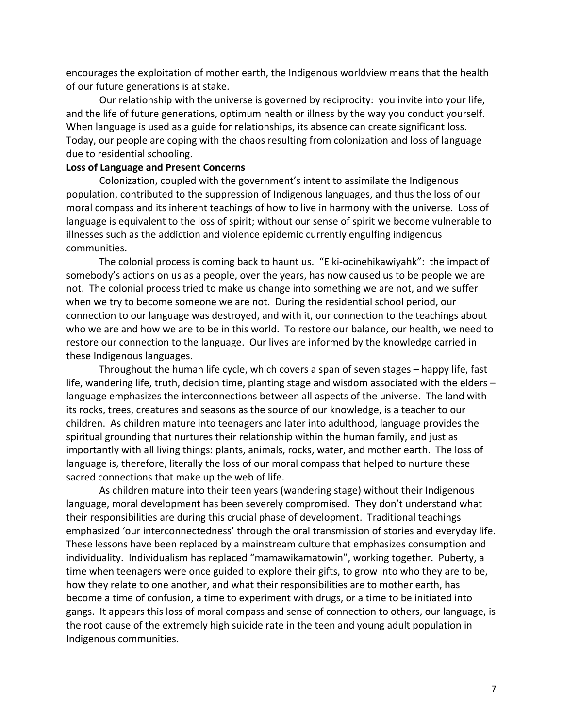encourages the exploitation of mother earth, the Indigenous worldview means that the health of our future generations is at stake.

Our relationship with the universe is governed by reciprocity: you invite into your life, and the life of future generations, optimum health or illness by the way you conduct yourself. When language is used as a guide for relationships, its absence can create significant loss. Today, our people are coping with the chaos resulting from colonization and loss of language due to residential schooling.

### **Loss of Language and Present Concerns**

Colonization, coupled with the government's intent to assimilate the Indigenous population, contributed to the suppression of Indigenous languages, and thus the loss of our moral compass and its inherent teachings of how to live in harmony with the universe. Loss of language is equivalent to the loss of spirit; without our sense of spirit we become vulnerable to illnesses such as the addiction and violence epidemic currently engulfing indigenous communities.

The colonial process is coming back to haunt us. "E ki‐ocinehikawiyahk": the impact of somebody's actions on us as a people, over the years, has now caused us to be people we are not. The colonial process tried to make us change into something we are not, and we suffer when we try to become someone we are not. During the residential school period, our connection to our language was destroyed, and with it, our connection to the teachings about who we are and how we are to be in this world. To restore our balance, our health, we need to restore our connection to the language. Our lives are informed by the knowledge carried in these Indigenous languages.

Throughout the human life cycle, which covers a span of seven stages – happy life, fast life, wandering life, truth, decision time, planting stage and wisdom associated with the elders – language emphasizes the interconnections between all aspects of the universe. The land with its rocks, trees, creatures and seasons as the source of our knowledge, is a teacher to our children. As children mature into teenagers and later into adulthood, language provides the spiritual grounding that nurtures their relationship within the human family, and just as importantly with all living things: plants, animals, rocks, water, and mother earth. The loss of language is, therefore, literally the loss of our moral compass that helped to nurture these sacred connections that make up the web of life.

As children mature into their teen years (wandering stage) without their Indigenous language, moral development has been severely compromised. They don't understand what their responsibilities are during this crucial phase of development. Traditional teachings emphasized 'our interconnectedness' through the oral transmission of stories and everyday life. These lessons have been replaced by a mainstream culture that emphasizes consumption and individuality. Individualism has replaced "mamawikamatowin", working together. Puberty, a time when teenagers were once guided to explore their gifts, to grow into who they are to be, how they relate to one another, and what their responsibilities are to mother earth, has become a time of confusion, a time to experiment with drugs, or a time to be initiated into gangs. It appears this loss of moral compass and sense of connection to others, our language, is the root cause of the extremely high suicide rate in the teen and young adult population in Indigenous communities.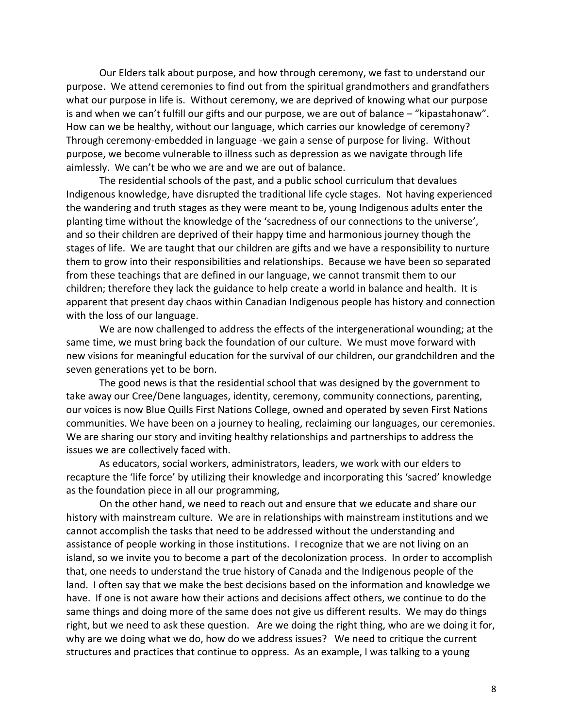Our Elders talk about purpose, and how through ceremony, we fast to understand our purpose. We attend ceremonies to find out from the spiritual grandmothers and grandfathers what our purpose in life is. Without ceremony, we are deprived of knowing what our purpose is and when we can't fulfill our gifts and our purpose, we are out of balance – "kipastahonaw". How can we be healthy, without our language, which carries our knowledge of ceremony? Through ceremony-embedded in language -we gain a sense of purpose for living. Without purpose, we become vulnerable to illness such as depression as we navigate through life aimlessly. We can't be who we are and we are out of balance.

The residential schools of the past, and a public school curriculum that devalues Indigenous knowledge, have disrupted the traditional life cycle stages. Not having experienced the wandering and truth stages as they were meant to be, young Indigenous adults enter the planting time without the knowledge of the 'sacredness of our connections to the universe', and so their children are deprived of their happy time and harmonious journey though the stages of life. We are taught that our children are gifts and we have a responsibility to nurture them to grow into their responsibilities and relationships. Because we have been so separated from these teachings that are defined in our language, we cannot transmit them to our children; therefore they lack the guidance to help create a world in balance and health. It is apparent that present day chaos within Canadian Indigenous people has history and connection with the loss of our language.

We are now challenged to address the effects of the intergenerational wounding; at the same time, we must bring back the foundation of our culture. We must move forward with new visions for meaningful education for the survival of our children, our grandchildren and the seven generations yet to be born.

The good news is that the residential school that was designed by the government to take away our Cree/Dene languages, identity, ceremony, community connections, parenting, our voices is now Blue Quills First Nations College, owned and operated by seven First Nations communities. We have been on a journey to healing, reclaiming our languages, our ceremonies. We are sharing our story and inviting healthy relationships and partnerships to address the issues we are collectively faced with.

 As educators, social workers, administrators, leaders, we work with our elders to recapture the 'life force' by utilizing their knowledge and incorporating this 'sacred' knowledge as the foundation piece in all our programming,

On the other hand, we need to reach out and ensure that we educate and share our history with mainstream culture. We are in relationships with mainstream institutions and we cannot accomplish the tasks that need to be addressed without the understanding and assistance of people working in those institutions. I recognize that we are not living on an island, so we invite you to become a part of the decolonization process. In order to accomplish that, one needs to understand the true history of Canada and the Indigenous people of the land. I often say that we make the best decisions based on the information and knowledge we have. If one is not aware how their actions and decisions affect others, we continue to do the same things and doing more of the same does not give us different results. We may do things right, but we need to ask these question. Are we doing the right thing, who are we doing it for, why are we doing what we do, how do we address issues? We need to critique the current structures and practices that continue to oppress. As an example, I was talking to a young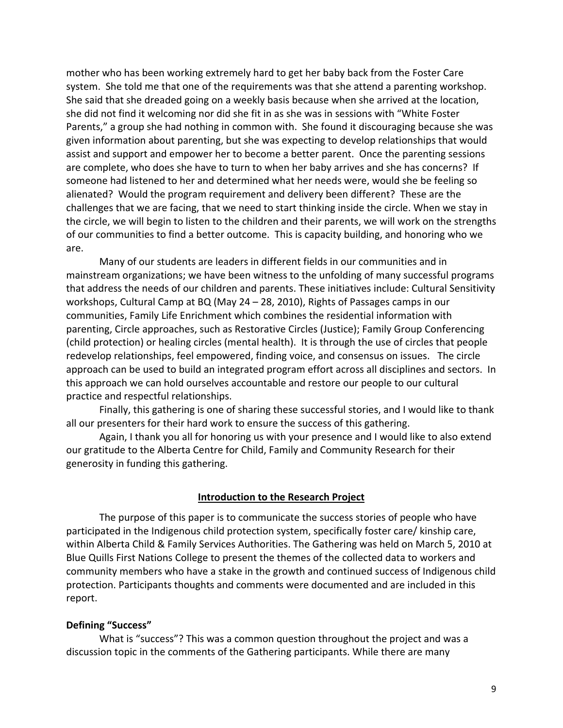mother who has been working extremely hard to get her baby back from the Foster Care system. She told me that one of the requirements was that she attend a parenting workshop. She said that she dreaded going on a weekly basis because when she arrived at the location, she did not find it welcoming nor did she fit in as she was in sessions with "White Foster Parents," a group she had nothing in common with. She found it discouraging because she was given information about parenting, but she was expecting to develop relationships that would assist and support and empower her to become a better parent. Once the parenting sessions are complete, who does she have to turn to when her baby arrives and she has concerns? If someone had listened to her and determined what her needs were, would she be feeling so alienated? Would the program requirement and delivery been different? These are the challenges that we are facing, that we need to start thinking inside the circle. When we stay in the circle, we will begin to listen to the children and their parents, we will work on the strengths of our communities to find a better outcome. This is capacity building, and honoring who we are.

Many of our students are leaders in different fields in our communities and in mainstream organizations; we have been witness to the unfolding of many successful programs that address the needs of our children and parents. These initiatives include: Cultural Sensitivity workshops, Cultural Camp at BQ (May 24 – 28, 2010), Rights of Passages camps in our communities, Family Life Enrichment which combines the residential information with parenting, Circle approaches, such as Restorative Circles (Justice); Family Group Conferencing (child protection) or healing circles (mental health). It is through the use of circles that people redevelop relationships, feel empowered, finding voice, and consensus on issues. The circle approach can be used to build an integrated program effort across all disciplines and sectors. In this approach we can hold ourselves accountable and restore our people to our cultural practice and respectful relationships.

Finally, this gathering is one of sharing these successful stories, and I would like to thank all our presenters for their hard work to ensure the success of this gathering.

Again, I thank you all for honoring us with your presence and I would like to also extend our gratitude to the Alberta Centre for Child, Family and Community Research for their generosity in funding this gathering.

#### **Introduction to the Research Project**

The purpose of this paper is to communicate the success stories of people who have participated in the Indigenous child protection system, specifically foster care/ kinship care, within Alberta Child & Family Services Authorities. The Gathering was held on March 5, 2010 at Blue Quills First Nations College to present the themes of the collected data to workers and community members who have a stake in the growth and continued success of Indigenous child protection. Participants thoughts and comments were documented and are included in this report.

#### **Defining "Success"**

What is "success"? This was a common question throughout the project and was a discussion topic in the comments of the Gathering participants. While there are many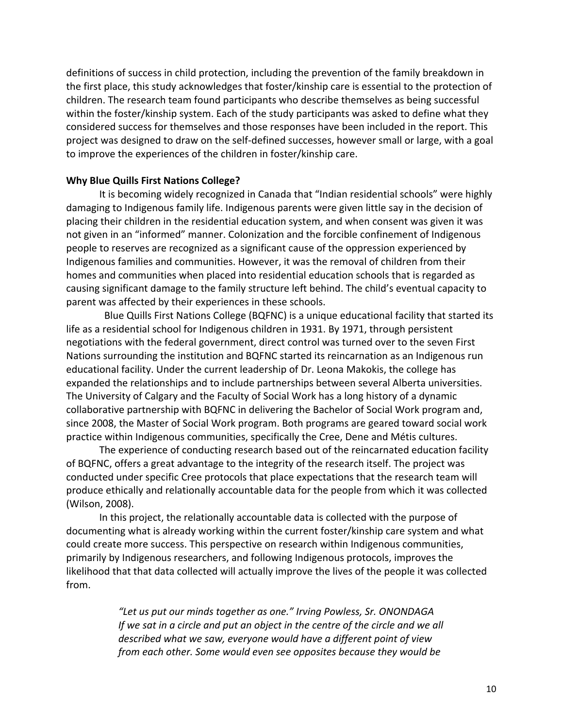definitions of success in child protection, including the prevention of the family breakdown in the first place, this study acknowledges that foster/kinship care is essential to the protection of children. The research team found participants who describe themselves as being successful within the foster/kinship system. Each of the study participants was asked to define what they considered success for themselves and those responses have been included in the report. This project was designed to draw on the self‐defined successes, however small or large, with a goal to improve the experiences of the children in foster/kinship care.

#### **Why Blue Quills First Nations College?**

It is becoming widely recognized in Canada that "Indian residential schools" were highly damaging to Indigenous family life. Indigenous parents were given little say in the decision of placing their children in the residential education system, and when consent was given it was not given in an "informed" manner. Colonization and the forcible confinement of Indigenous people to reserves are recognized as a significant cause of the oppression experienced by Indigenous families and communities. However, it was the removal of children from their homes and communities when placed into residential education schools that is regarded as causing significant damage to the family structure left behind. The child's eventual capacity to parent was affected by their experiences in these schools.

 Blue Quills First Nations College (BQFNC) is a unique educational facility that started its life as a residential school for Indigenous children in 1931. By 1971, through persistent negotiations with the federal government, direct control was turned over to the seven First Nations surrounding the institution and BQFNC started its reincarnation as an Indigenous run educational facility. Under the current leadership of Dr. Leona Makokis, the college has expanded the relationships and to include partnerships between several Alberta universities. The University of Calgary and the Faculty of Social Work has a long history of a dynamic collaborative partnership with BQFNC in delivering the Bachelor of Social Work program and, since 2008, the Master of Social Work program. Both programs are geared toward social work practice within Indigenous communities, specifically the Cree, Dene and Métis cultures.

The experience of conducting research based out of the reincarnated education facility of BQFNC, offers a great advantage to the integrity of the research itself. The project was conducted under specific Cree protocols that place expectations that the research team will produce ethically and relationally accountable data for the people from which it was collected (Wilson, 2008).

In this project, the relationally accountable data is collected with the purpose of documenting what is already working within the current foster/kinship care system and what could create more success. This perspective on research within Indigenous communities, primarily by Indigenous researchers, and following Indigenous protocols, improves the likelihood that that data collected will actually improve the lives of the people it was collected from.

> *"Let us put our minds together as one." Irving Powless, Sr. ONONDAGA If we sat in a circle and put an object in the centre of the circle and we all described what we saw, everyone would have a different point of view from each other. Some would even see opposites because they would be*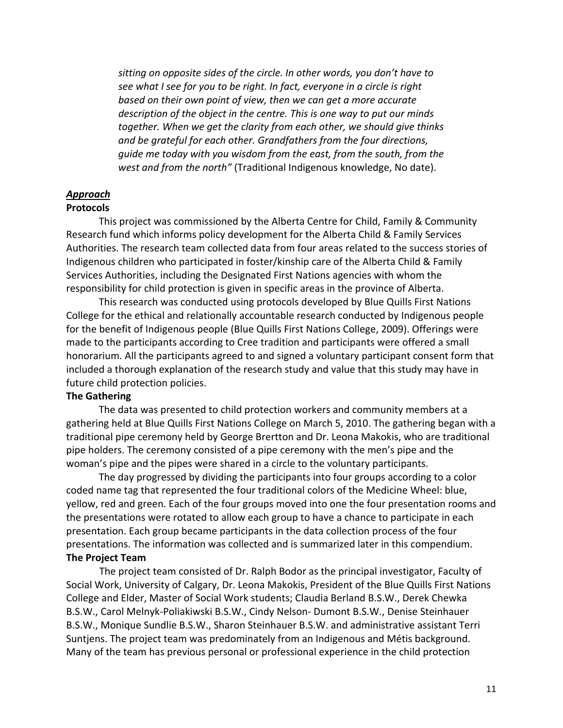*sitting on opposite sides of the circle. In other words, you don't have to see what I see for you to be right. In fact, everyone in a circle is right based on their own point of view, then we can get a more accurate description of the object in the centre. This is one way to put our minds together. When we get the clarity from each other, we should give thinks and be grateful for each other. Grandfathers from the four directions, guide me today with you wisdom from the east, from the south, from the west and from the north"* (Traditional Indigenous knowledge, No date).

# *Approach*

# **Protocols**

This project was commissioned by the Alberta Centre for Child, Family & Community Research fund which informs policy development for the Alberta Child & Family Services Authorities. The research team collected data from four areas related to the success stories of Indigenous children who participated in foster/kinship care of the Alberta Child & Family Services Authorities, including the Designated First Nations agencies with whom the responsibility for child protection is given in specific areas in the province of Alberta.

This research was conducted using protocols developed by Blue Quills First Nations College for the ethical and relationally accountable research conducted by Indigenous people for the benefit of Indigenous people (Blue Quills First Nations College, 2009). Offerings were made to the participants according to Cree tradition and participants were offered a small honorarium. All the participants agreed to and signed a voluntary participant consent form that included a thorough explanation of the research study and value that this study may have in future child protection policies.

### **The Gathering**

The data was presented to child protection workers and community members at a gathering held at Blue Quills First Nations College on March 5, 2010. The gathering began with a traditional pipe ceremony held by George Brertton and Dr. Leona Makokis, who are traditional pipe holders. The ceremony consisted of a pipe ceremony with the men's pipe and the woman's pipe and the pipes were shared in a circle to the voluntary participants.

The day progressed by dividing the participants into four groups according to a color coded name tag that represented the four traditional colors of the Medicine Wheel: blue, yellow, red and green. Each of the four groups moved into one the four presentation rooms and the presentations were rotated to allow each group to have a chance to participate in each presentation. Each group became participants in the data collection process of the four presentations. The information was collected and is summarized later in this compendium. **The Project Team**

The project team consisted of Dr. Ralph Bodor as the principal investigator, Faculty of Social Work, University of Calgary, Dr. Leona Makokis, President of the Blue Quills First Nations College and Elder, Master of Social Work students; Claudia Berland B.S.W., Derek Chewka B.S.W., Carol Melnyk‐Poliakiwski B.S.W., Cindy Nelson‐ Dumont B.S.W., Denise Steinhauer B.S.W., Monique Sundlie B.S.W., Sharon Steinhauer B.S.W. and administrative assistant Terri Suntjens. The project team was predominately from an Indigenous and Métis background. Many of the team has previous personal or professional experience in the child protection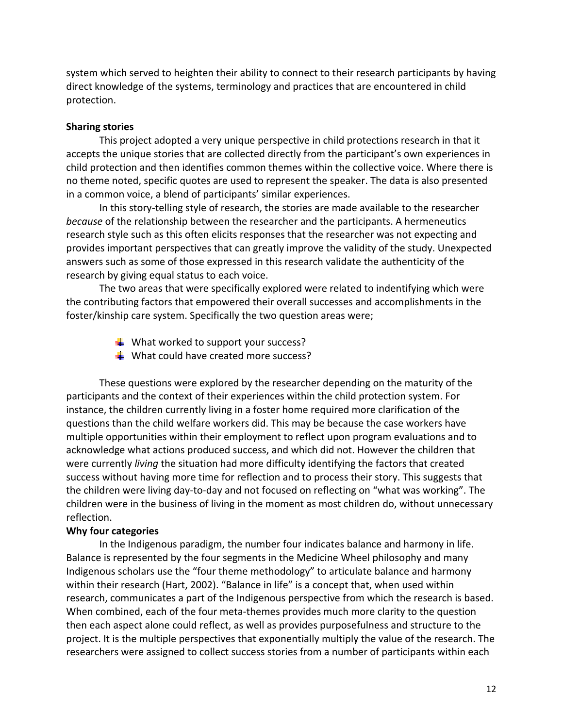system which served to heighten their ability to connect to their research participants by having direct knowledge of the systems, terminology and practices that are encountered in child protection.

## **Sharing stories**

This project adopted a very unique perspective in child protections research in that it accepts the unique stories that are collected directly from the participant's own experiences in child protection and then identifies common themes within the collective voice. Where there is no theme noted, specific quotes are used to represent the speaker. The data is also presented in a common voice, a blend of participants' similar experiences.

In this story‐telling style of research, the stories are made available to the researcher *because* of the relationship between the researcher and the participants. A hermeneutics research style such as this often elicits responses that the researcher was not expecting and provides important perspectives that can greatly improve the validity of the study. Unexpected answers such as some of those expressed in this research validate the authenticity of the research by giving equal status to each voice.

The two areas that were specifically explored were related to indentifying which were the contributing factors that empowered their overall successes and accomplishments in the foster/kinship care system. Specifically the two question areas were;

- $\frac{1}{2}$  What worked to support your success?
- $\frac{1}{2}$  What could have created more success?

These questions were explored by the researcher depending on the maturity of the participants and the context of their experiences within the child protection system. For instance, the children currently living in a foster home required more clarification of the questions than the child welfare workers did. This may be because the case workers have multiple opportunities within their employment to reflect upon program evaluations and to acknowledge what actions produced success, and which did not. However the children that were currently *living* the situation had more difficulty identifying the factors that created success without having more time for reflection and to process their story. This suggests that the children were living day‐to‐day and not focused on reflecting on "what was working". The children were in the business of living in the moment as most children do, without unnecessary reflection.

#### **Why four categories**

In the Indigenous paradigm, the number four indicates balance and harmony in life. Balance is represented by the four segments in the Medicine Wheel philosophy and many Indigenous scholars use the "four theme methodology" to articulate balance and harmony within their research (Hart, 2002). "Balance in life" is a concept that, when used within research, communicates a part of the Indigenous perspective from which the research is based. When combined, each of the four meta-themes provides much more clarity to the question then each aspect alone could reflect, as well as provides purposefulness and structure to the project. It is the multiple perspectives that exponentially multiply the value of the research. The researchers were assigned to collect success stories from a number of participants within each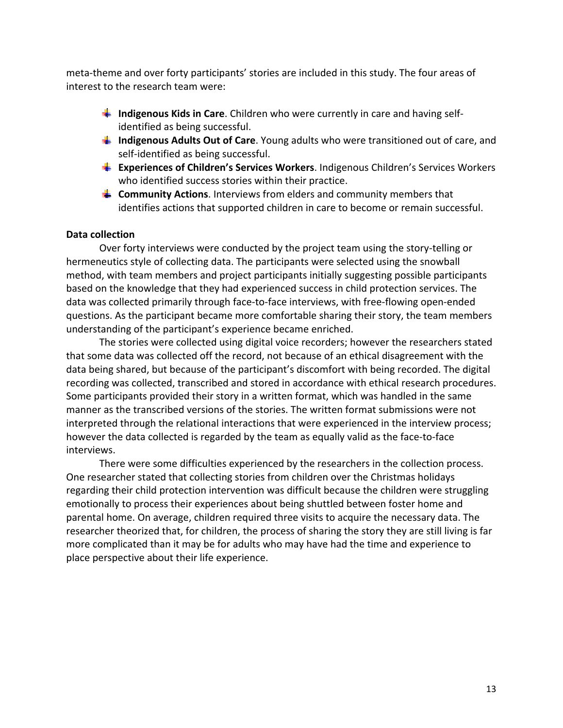meta‐theme and over forty participants' stories are included in this study. The four areas of interest to the research team were:

- **↓ Indigenous Kids in Care**. Children who were currently in care and having self– identified as being successful.
- **Indigenous Adults Out of Care**. Young adults who were transitioned out of care, and self‐identified as being successful.
- **Experiences of Children's Services Workers**. Indigenous Children's Services Workers who identified success stories within their practice.
- **Community Actions**. Interviews from elders and community members that identifies actions that supported children in care to become or remain successful.

## **Data collection**

Over forty interviews were conducted by the project team using the story-telling or hermeneutics style of collecting data. The participants were selected using the snowball method, with team members and project participants initially suggesting possible participants based on the knowledge that they had experienced success in child protection services. The data was collected primarily through face‐to‐face interviews, with free‐flowing open‐ended questions. As the participant became more comfortable sharing their story, the team members understanding of the participant's experience became enriched.

The stories were collected using digital voice recorders; however the researchers stated that some data was collected off the record, not because of an ethical disagreement with the data being shared, but because of the participant's discomfort with being recorded. The digital recording was collected, transcribed and stored in accordance with ethical research procedures. Some participants provided their story in a written format, which was handled in the same manner as the transcribed versions of the stories. The written format submissions were not interpreted through the relational interactions that were experienced in the interview process; however the data collected is regarded by the team as equally valid as the face‐to‐face interviews.

There were some difficulties experienced by the researchers in the collection process. One researcher stated that collecting stories from children over the Christmas holidays regarding their child protection intervention was difficult because the children were struggling emotionally to process their experiences about being shuttled between foster home and parental home. On average, children required three visits to acquire the necessary data. The researcher theorized that, for children, the process of sharing the story they are still living is far more complicated than it may be for adults who may have had the time and experience to place perspective about their life experience.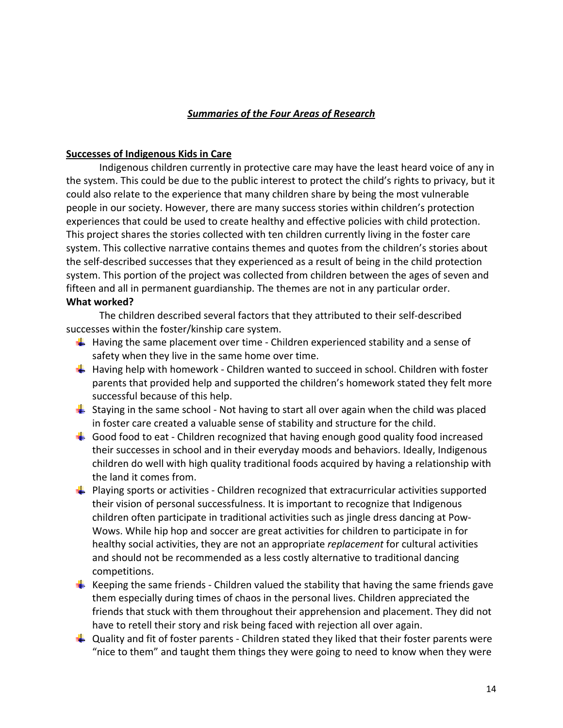## *Summaries of the Four Areas of Research*

### **Successes of Indigenous Kids in Care**

Indigenous children currently in protective care may have the least heard voice of any in the system. This could be due to the public interest to protect the child's rights to privacy, but it could also relate to the experience that many children share by being the most vulnerable people in our society. However, there are many success stories within children's protection experiences that could be used to create healthy and effective policies with child protection. This project shares the stories collected with ten children currently living in the foster care system. This collective narrative contains themes and quotes from the children's stories about the self‐described successes that they experienced as a result of being in the child protection system. This portion of the project was collected from children between the ages of seven and fifteen and all in permanent guardianship. The themes are not in any particular order. **What worked?** 

The children described several factors that they attributed to their self‐described successes within the foster/kinship care system.

- $\frac{1}{\sqrt{1}}$  Having the same placement over time Children experienced stability and a sense of safety when they live in the same home over time.
- $\textcolor{red}{\blackdownarrow}$  Having help with homework Children wanted to succeed in school. Children with foster parents that provided help and supported the children's homework stated they felt more successful because of this help.
- $\downarrow$  Staying in the same school Not having to start all over again when the child was placed in foster care created a valuable sense of stability and structure for the child.
- $\ddot{\phantom{1}}$  Good food to eat Children recognized that having enough good quality food increased their successes in school and in their everyday moods and behaviors. Ideally, Indigenous children do well with high quality traditional foods acquired by having a relationship with the land it comes from.
- **Playing sports or activities Children recognized that extracurricular activities supported** their vision of personal successfulness. It is important to recognize that Indigenous children often participate in traditional activities such as jingle dress dancing at Pow‐ Wows. While hip hop and soccer are great activities for children to participate in for healthy social activities, they are not an appropriate *replacement* for cultural activities and should not be recommended as a less costly alternative to traditional dancing competitions.
- Keeping the same friends Children valued the stability that having the same friends gave them especially during times of chaos in the personal lives. Children appreciated the friends that stuck with them throughout their apprehension and placement. They did not have to retell their story and risk being faced with rejection all over again.
- $\downarrow$  Quality and fit of foster parents Children stated they liked that their foster parents were "nice to them" and taught them things they were going to need to know when they were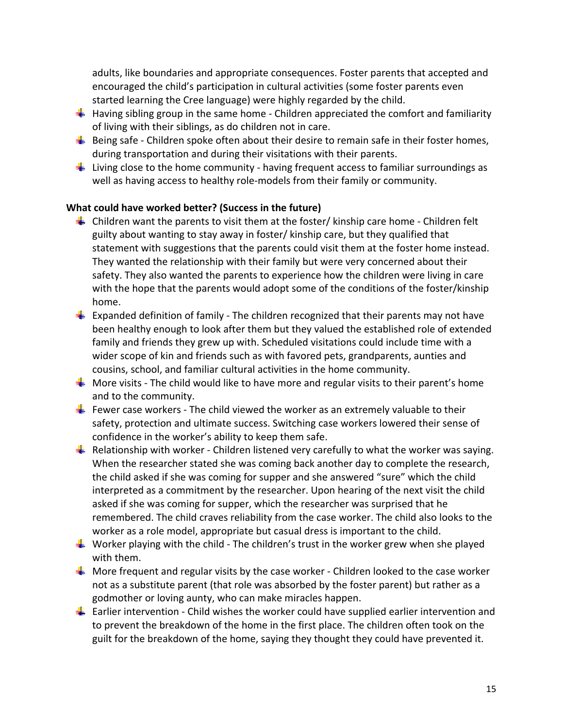adults, like boundaries and appropriate consequences. Foster parents that accepted and encouraged the child's participation in cultural activities (some foster parents even started learning the Cree language) were highly regarded by the child.

- $\frac{1}{\sqrt{1}}$  Having sibling group in the same home Children appreciated the comfort and familiarity of living with their siblings, as do children not in care.
- $\frac{1}{2}$  Being safe Children spoke often about their desire to remain safe in their foster homes, during transportation and during their visitations with their parents.
- $\textcolor{red}{\blacktriangle}$  Living close to the home community having frequent access to familiar surroundings as well as having access to healthy role-models from their family or community.

# **What could have worked better? (Success in the future)**

- $\triangleq$  Children want the parents to visit them at the foster/ kinship care home  $\overline{\phantom{a}}$ -Children felt guilty about wanting to stay away in foster/ kinship care, but they qualified that statement with suggestions that the parents could visit them at the foster home instead. They wanted the relationship with their family but were very concerned about their safety. They also wanted the parents to experience how the children were living in care with the hope that the parents would adopt some of the conditions of the foster/kinship home.
- $\frac{4}{3}$  Expanded definition of family The children recognized that their parents may not have been healthy enough to look after them but they valued the established role of extended family and friends they grew up with. Scheduled visitations could include time with a wider scope of kin and friends such as with favored pets, grandparents, aunties and cousins, school, and familiar cultural activities in the home community.
- $\frac{1}{2}$  More visits The child would like to have more and regular visits to their parent's home and to the community.
- Fewer case workers The child viewed the worker as an extremely valuable to their safety, protection and ultimate success. Switching case workers lowered their sense of confidence in the worker's ability to keep them safe.
- $\frac{1}{2}$  Relationship with worker Children listened very carefully to what the worker was saying. When the researcher stated she was coming back another day to complete the research, the child asked if she was coming for supper and she answered "sure" which the child interpreted as a commitment by the researcher. Upon hearing of the next visit the child asked if she was coming for supper, which the researcher was surprised that he remembered. The child craves reliability from the case worker. The child also looks to the worker as a role model, appropriate but casual dress is important to the child.
- $\downarrow$  Worker playing with the child The children's trust in the worker grew when she played with them.
- $\frac{1}{2}$  More frequent and regular visits by the case worker Children looked to the case worker not as a substitute parent (that role was absorbed by the foster parent) but rather as a godmother or loving aunty, who can make miracles happen.
- $\perp$  Earlier intervention Child wishes the worker could have supplied earlier intervention and to prevent the breakdown of the home in the first place. The children often took on the guilt for the breakdown of the home, saying they thought they could have prevented it.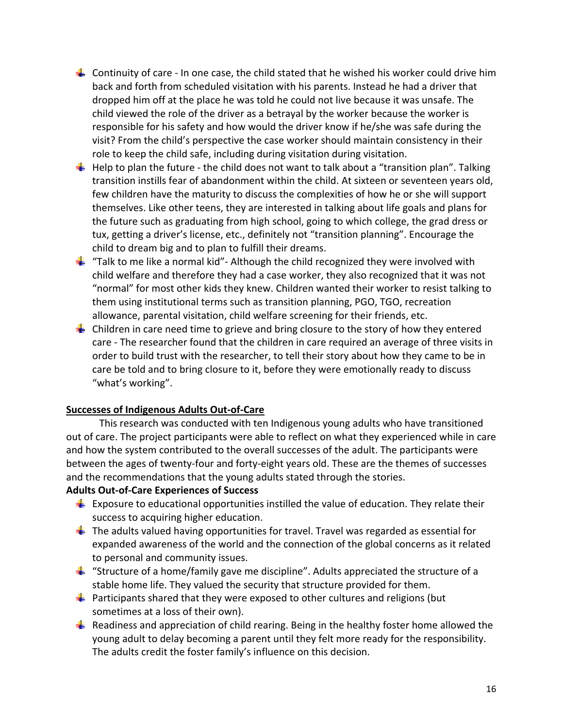- Continuity of care In one case, the child stated that he wished his worker could drive him back and forth from scheduled visitation with his parents. Instead he had a driver that dropped him off at the place he was told he could not live because it was unsafe. The child viewed the role of the driver as a betrayal by the worker because the worker is responsible for his safety and how would the driver know if he/she was safe during the visit? From the child's perspective the case worker should maintain consistency in their role to keep the child safe, including during visitation during visitation.
- $\frac{1}{\sqrt{1}}$  Help to plan the future the child does not want to talk about a "transition plan". Talking transition instills fear of abandonment within the child. At sixteen or seventeen years old, few children have the maturity to discuss the complexities of how he or she will support themselves. Like other teens, they are interested in talking about life goals and plans for the future such as graduating from high school, going to which college, the grad dress or tux, getting a driver's license, etc., definitely not "transition planning". Encourage the child to dream big and to plan to fulfill their dreams.
- $\frac{1}{2}$  "Talk to me like a normal kid" Although the child recognized they were involved with child welfare and therefore they had a case worker, they also recognized that it was not "normal" for most other kids they knew. Children wanted their worker to resist talking to them using institutional terms such as transition planning, PGO, TGO, recreation allowance, parental visitation, child welfare screening for their friends, etc.
- $\pm$  Children in care need time to grieve and bring closure to the story of how they entered care ‐ The researcher found that the children in care required an average of three visits in order to build trust with the researcher, to tell their story about how they came to be in care be told and to bring closure to it, before they were emotionally ready to discuss "what's working".

## **Successes of Indigenous Adults Out‐of‐Care**

This research was conducted with ten Indigenous young adults who have transitioned out of care. The project participants were able to reflect on what they experienced while in care and how the system contributed to the overall successes of the adult. The participants were between the ages of twenty-four and forty-eight years old. These are the themes of successes and the recommendations that the young adults stated through the stories.

# **Adults Out‐of‐Care Experiences of Success**

- $\frac{1}{2}$  Exposure to educational opportunities instilled the value of education. They relate their success to acquiring higher education.
- $\ddot{\phantom{1}}$  The adults valued having opportunities for travel. Travel was regarded as essential for expanded awareness of the world and the connection of the global concerns as it related to personal and community issues.
- $\frac{1}{2}$  "Structure of a home/family gave me discipline". Adults appreciated the structure of a stable home life. They valued the security that structure provided for them.
- **Participants shared that they were exposed to other cultures and religions (but** sometimes at a loss of their own).
- Readiness and appreciation of child rearing. Being in the healthy foster home allowed the young adult to delay becoming a parent until they felt more ready for the responsibility. The adults credit the foster family's influence on this decision.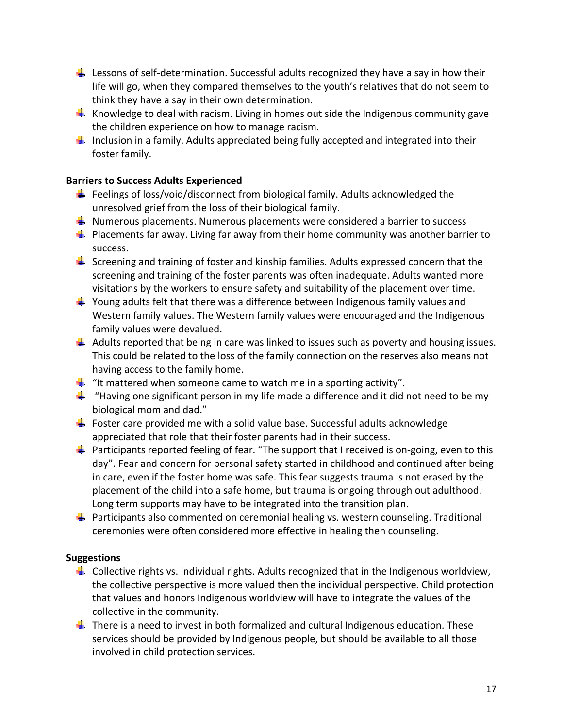- Lessons of self‐determination. Successful adults recognized they have a say in how their life will go, when they compared themselves to the youth's relatives that do not seem to think they have a say in their own determination.
- $\frac{1}{\sqrt{1}}$  Knowledge to deal with racism. Living in homes out side the Indigenous community gave the children experience on how to manage racism.
- Inclusion in a family. Adults appreciated being fully accepted and integrated into their foster family.

# **Barriers to Success Adults Experienced**

- Feelings of loss/void/disconnect from biological family. Adults acknowledged the unresolved grief from the loss of their biological family.
- $\frac{1}{2}$  Numerous placements. Numerous placements were considered a barrier to success
- $\frac{1}{2}$  Placements far away. Living far away from their home community was another barrier to success.
- $\frac{1}{2}$  Screening and training of foster and kinship families. Adults expressed concern that the screening and training of the foster parents was often inadequate. Adults wanted more visitations by the workers to ensure safety and suitability of the placement over time.
- $\frac{1}{2}$  Young adults felt that there was a difference between Indigenous family values and Western family values. The Western family values were encouraged and the Indigenous family values were devalued.
- $\downarrow$  Adults reported that being in care was linked to issues such as poverty and housing issues. This could be related to the loss of the family connection on the reserves also means not having access to the family home.
- $\frac{1}{2}$  "It mattered when someone came to watch me in a sporting activity".
- $\frac{1}{2}$  "Having one significant person in my life made a difference and it did not need to be my biological mom and dad."
- Foster care provided me with a solid value base. Successful adults acknowledge appreciated that role that their foster parents had in their success.
- Participants reported feeling of fear. "The support that I received is on‐going, even to this day". Fear and concern for personal safety started in childhood and continued after being in care, even if the foster home was safe. This fear suggests trauma is not erased by the placement of the child into a safe home, but trauma is ongoing through out adulthood. Long term supports may have to be integrated into the transition plan.
- **Participants also commented on ceremonial healing vs. western counseling. Traditional** ceremonies were often considered more effective in healing then counseling.

# **Suggestions**

- $\ddot{+}$  Collective rights vs. individual rights. Adults recognized that in the Indigenous worldview, the collective perspective is more valued then the individual perspective. Child protection that values and honors Indigenous worldview will have to integrate the values of the collective in the community.
- $\frac{1}{2}$  There is a need to invest in both formalized and cultural Indigenous education. These services should be provided by Indigenous people, but should be available to all those involved in child protection services.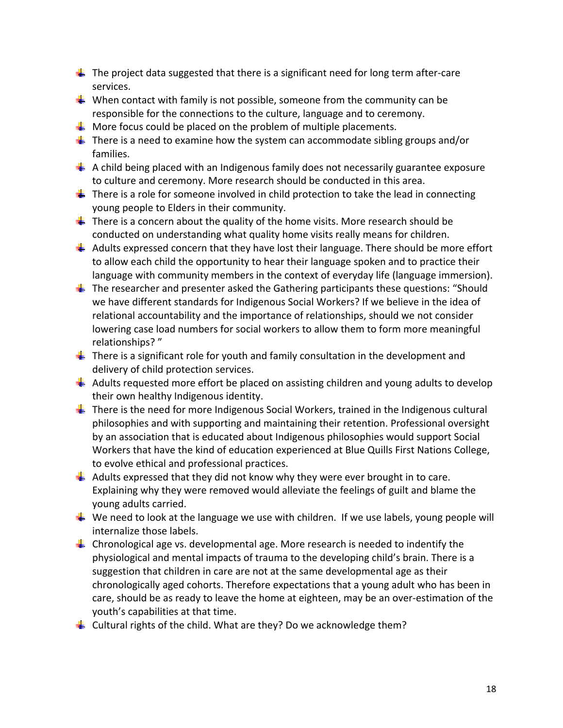- $\ddot{\phantom{1}}$  The project data suggested that there is a significant need for long term after-care services.
- When contact with family is not possible, someone from the community can be responsible for the connections to the culture, language and to ceremony.
- $\frac{1}{2}$  More focus could be placed on the problem of multiple placements.
- $\frac{1}{2}$  There is a need to examine how the system can accommodate sibling groups and/or families.
- $\Box$  A child being placed with an Indigenous family does not necessarily guarantee exposure to culture and ceremony. More research should be conducted in this area.
- $\perp$  There is a role for someone involved in child protection to take the lead in connecting young people to Elders in their community.
- $\frac{1}{2}$  There is a concern about the quality of the home visits. More research should be conducted on understanding what quality home visits really means for children.
- $\ddot{\phantom{1}}$  Adults expressed concern that they have lost their language. There should be more effort to allow each child the opportunity to hear their language spoken and to practice their language with community members in the context of everyday life (language immersion).
- $\ddot{\phantom{1}}$  The researcher and presenter asked the Gathering participants these questions: "Should we have different standards for Indigenous Social Workers? If we believe in the idea of relational accountability and the importance of relationships, should we not consider lowering case load numbers for social workers to allow them to form more meaningful relationships? "
- $\ddot{\phantom{1}}$  There is a significant role for youth and family consultation in the development and delivery of child protection services.
- $\triangleq$  Adults requested more effort be placed on assisting children and young adults to develop their own healthy Indigenous identity.
- $\frac{1}{2}$  There is the need for more Indigenous Social Workers, trained in the Indigenous cultural philosophies and with supporting and maintaining their retention. Professional oversight by an association that is educated about Indigenous philosophies would support Social Workers that have the kind of education experienced at Blue Quills First Nations College, to evolve ethical and professional practices.
- $\downarrow$  Adults expressed that they did not know why they were ever brought in to care. Explaining why they were removed would alleviate the feelings of guilt and blame the young adults carried.
- $\frac{1}{2}$  We need to look at the language we use with children. If we use labels, young people will internalize those labels.
- **L** Chronological age vs. developmental age. More research is needed to indentify the physiological and mental impacts of trauma to the developing child's brain. There is a suggestion that children in care are not at the same developmental age as their chronologically aged cohorts. Therefore expectations that a young adult who has been in care, should be as ready to leave the home at eighteen, may be an over‐estimation of the youth's capabilities at that time.
- $\triangleq$  Cultural rights of the child. What are they? Do we acknowledge them?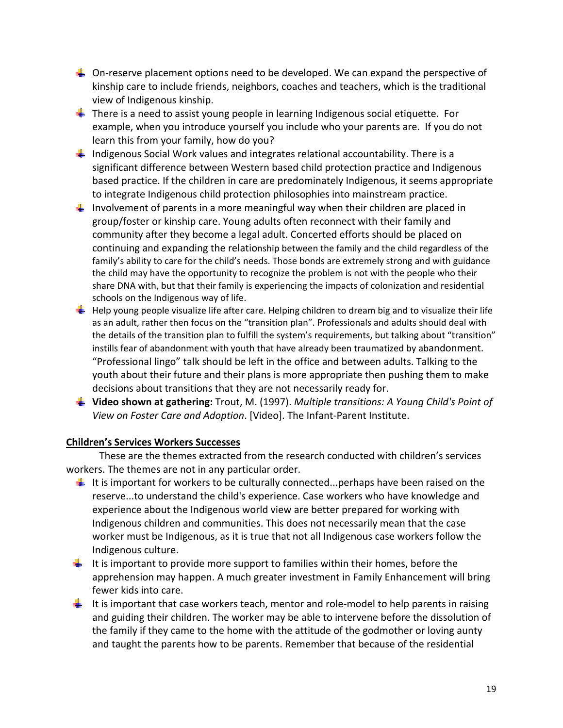- $\Box$  On-reserve placement options need to be developed. We can expand the perspective of kinship care to include friends, neighbors, coaches and teachers, which is the traditional view of Indigenous kinship.
- $\frac{1}{\sqrt{1}}$  There is a need to assist young people in learning Indigenous social etiquette. For example, when you introduce yourself you include who your parents are. If you do not learn this from your family, how do you?
- $\frac{1}{2}$  Indigenous Social Work values and integrates relational accountability. There is a significant difference between Western based child protection practice and Indigenous based practice. If the children in care are predominately Indigenous, it seems appropriate to integrate Indigenous child protection philosophies into mainstream practice.
- Involvement of parents in a more meaningful way when their children are placed in group/foster or kinship care. Young adults often reconnect with their family and community after they become a legal adult. Concerted efforts should be placed on continuing and expanding the relationship between the family and the child regardless of the family's ability to care for the child's needs. Those bonds are extremely strong and with guidance the child may have the opportunity to recognize the problem is not with the people who their share DNA with, but that their family is experiencing the impacts of colonization and residential schools on the Indigenous way of life.
- $\pm$  Help young people visualize life after care. Helping children to dream big and to visualize their life as an adult, rather then focus on the "transition plan". Professionals and adults should deal with the details of the transition plan to fulfill the system's requirements, but talking about "transition" instills fear of abandonment with youth that have already been traumatized by abandonment. "Professional lingo" talk should be left in the office and between adults. Talking to the youth about their future and their plans is more appropriate then pushing them to make decisions about transitions that they are not necessarily ready for.
- **Video shown at gathering:** Trout, M. (1997). *Multiple transitions: A Young Child's Point of View on Foster Care and Adoption*. [Video]. The Infant‐Parent Institute.

# **Children's Services Workers Successes**

These are the themes extracted from the research conducted with children's services workers. The themes are not in any particular order.

- It is important for workers to be culturally connected...perhaps have been raised on the reserve...to understand the child's experience. Case workers who have knowledge and experience about the Indigenous world view are better prepared for working with Indigenous children and communities. This does not necessarily mean that the case worker must be Indigenous, as it is true that not all Indigenous case workers follow the Indigenous culture.
- It is important to provide more support to families within their homes, before the apprehension may happen. A much greater investment in Family Enhancement will bring fewer kids into care.
- It is important that case workers teach, mentor and role-model to help parents in raising and guiding their children. The worker may be able to intervene before the dissolution of the family if they came to the home with the attitude of the godmother or loving aunty and taught the parents how to be parents. Remember that because of the residential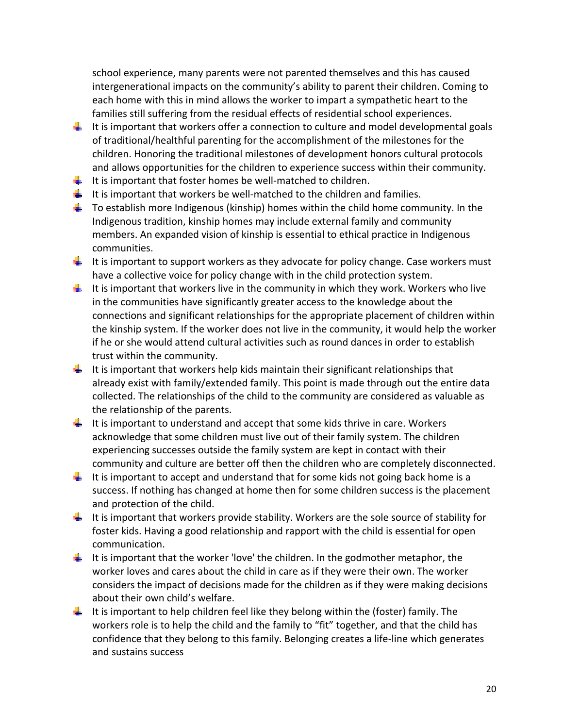school experience, many parents were not parented themselves and this has caused intergenerational impacts on the community's ability to parent their children. Coming to each home with this in mind allows the worker to impart a sympathetic heart to the families still suffering from the residual effects of residential school experiences.

- It is important that workers offer a connection to culture and model developmental goals of traditional/healthful parenting for the accomplishment of the milestones for the children. Honoring the traditional milestones of development honors cultural protocols and allows opportunities for the children to experience success within their community.
- $\frac{1}{\sqrt{2}}$  It is important that foster homes be well-matched to children.
- It is important that workers be well-matched to the children and families.
- $\downarrow$  To establish more Indigenous (kinship) homes within the child home community. In the Indigenous tradition, kinship homes may include external family and community members. An expanded vision of kinship is essential to ethical practice in Indigenous communities.
- It is important to support workers as they advocate for policy change. Case workers must have a collective voice for policy change with in the child protection system.
- It is important that workers live in the community in which they work. Workers who live in the communities have significantly greater access to the knowledge about the connections and significant relationships for the appropriate placement of children within the kinship system. If the worker does not live in the community, it would help the worker if he or she would attend cultural activities such as round dances in order to establish trust within the community.
- It is important that workers help kids maintain their significant relationships that already exist with family/extended family. This point is made through out the entire data collected. The relationships of the child to the community are considered as valuable as the relationship of the parents.
- It is important to understand and accept that some kids thrive in care. Workers acknowledge that some children must live out of their family system. The children experiencing successes outside the family system are kept in contact with their community and culture are better off then the children who are completely disconnected.
- It is important to accept and understand that for some kids not going back home is a success. If nothing has changed at home then for some children success is the placement and protection of the child.
- It is important that workers provide stability. Workers are the sole source of stability for foster kids. Having a good relationship and rapport with the child is essential for open communication.
- It is important that the worker 'love' the children. In the godmother metaphor, the worker loves and cares about the child in care as if they were their own. The worker considers the impact of decisions made for the children as if they were making decisions about their own child's welfare.
- It is important to help children feel like they belong within the (foster) family. The workers role is to help the child and the family to "fit" together, and that the child has confidence that they belong to this family. Belonging creates a life‐line which generates and sustains success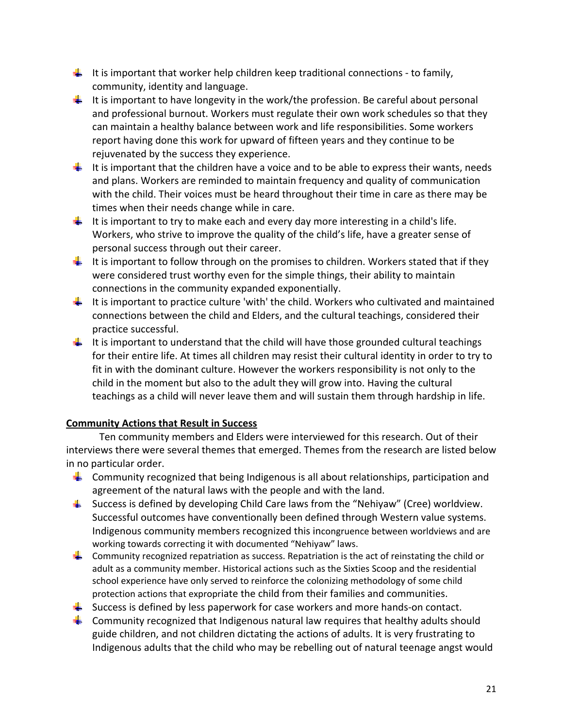- It is important that worker help children keep traditional connections to family, community, identity and language.
- It is important to have longevity in the work/the profession. Be careful about personal and professional burnout. Workers must regulate their own work schedules so that they can maintain a healthy balance between work and life responsibilities. Some workers report having done this work for upward of fifteen years and they continue to be rejuvenated by the success they experience.
- It is important that the children have a voice and to be able to express their wants, needs and plans. Workers are reminded to maintain frequency and quality of communication with the child. Their voices must be heard throughout their time in care as there may be times when their needs change while in care.
- It is important to try to make each and every day more interesting in a child's life. Workers, who strive to improve the quality of the child's life, have a greater sense of personal success through out their career.
- It is important to follow through on the promises to children. Workers stated that if they were considered trust worthy even for the simple things, their ability to maintain connections in the community expanded exponentially.
- It is important to practice culture 'with' the child. Workers who cultivated and maintained connections between the child and Elders, and the cultural teachings, considered their practice successful.
- It is important to understand that the child will have those grounded cultural teachings for their entire life. At times all children may resist their cultural identity in order to try to fit in with the dominant culture. However the workers responsibility is not only to the child in the moment but also to the adult they will grow into. Having the cultural teachings as a child will never leave them and will sustain them through hardship in life.

# **Community Actions that Result in Success**

Ten community members and Elders were interviewed for this research. Out of their interviews there were several themes that emerged. Themes from the research are listed below in no particular order.

- **Community recognized that being Indigenous is all about relationships, participation and** agreement of the natural laws with the people and with the land.
- $\frac{1}{2}$  Success is defined by developing Child Care laws from the "Nehiyaw" (Cree) worldview. Successful outcomes have conventionally been defined through Western value systems. Indigenous community members recognized this incongruence between worldviews and are working towards correcting it with documented "Nehiyaw" laws.
- $\downarrow$  Community recognized repatriation as success. Repatriation is the act of reinstating the child or adult as a community member. Historical actions such as the Sixties Scoop and the residential school experience have only served to reinforce the colonizing methodology of some child protection actions that expropriate the child from their families and communities.
- Success is defined by less paperwork for case workers and more hands-on contact.
- **Community recognized that Indigenous natural law requires that healthy adults should** guide children, and not children dictating the actions of adults. It is very frustrating to Indigenous adults that the child who may be rebelling out of natural teenage angst would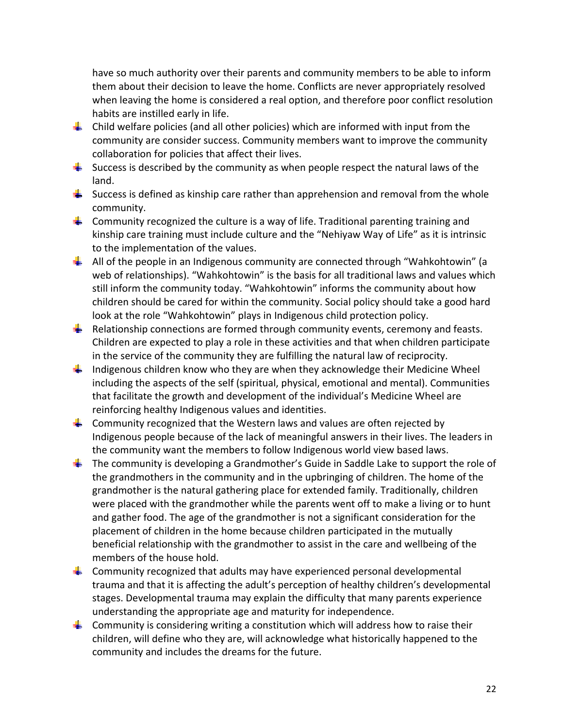have so much authority over their parents and community members to be able to inform them about their decision to leave the home. Conflicts are never appropriately resolved when leaving the home is considered a real option, and therefore poor conflict resolution habits are instilled early in life.

- **L** Child welfare policies (and all other policies) which are informed with input from the community are consider success. Community members want to improve the community collaboration for policies that affect their lives.
- $\frac{1}{2}$  Success is described by the community as when people respect the natural laws of the land.
- Success is defined as kinship care rather than apprehension and removal from the whole community.
- **Community recognized the culture is a way of life. Traditional parenting training and** kinship care training must include culture and the "Nehiyaw Way of Life" as it is intrinsic to the implementation of the values.
- $\downarrow$  All of the people in an Indigenous community are connected through "Wahkohtowin" (a web of relationships). "Wahkohtowin" is the basis for all traditional laws and values which still inform the community today. "Wahkohtowin" informs the community about how children should be cared for within the community. Social policy should take a good hard look at the role "Wahkohtowin" plays in Indigenous child protection policy.
- Relationship connections are formed through community events, ceremony and feasts. Children are expected to play a role in these activities and that when children participate in the service of the community they are fulfilling the natural law of reciprocity.
- $\frac{1}{2}$  Indigenous children know who they are when they acknowledge their Medicine Wheel including the aspects of the self (spiritual, physical, emotional and mental). Communities that facilitate the growth and development of the individual's Medicine Wheel are reinforcing healthy Indigenous values and identities.
- $\downarrow$  Community recognized that the Western laws and values are often rejected by Indigenous people because of the lack of meaningful answers in their lives. The leaders in the community want the members to follow Indigenous world view based laws.
- $\ddot{\phantom{1}}$  The community is developing a Grandmother's Guide in Saddle Lake to support the role of the grandmothers in the community and in the upbringing of children. The home of the grandmother is the natural gathering place for extended family. Traditionally, children were placed with the grandmother while the parents went off to make a living or to hunt and gather food. The age of the grandmother is not a significant consideration for the placement of children in the home because children participated in the mutually beneficial relationship with the grandmother to assist in the care and wellbeing of the members of the house hold.
- $\downarrow$  Community recognized that adults may have experienced personal developmental trauma and that it is affecting the adult's perception of healthy children's developmental stages. Developmental trauma may explain the difficulty that many parents experience understanding the appropriate age and maturity for independence.
- $\downarrow$  Community is considering writing a constitution which will address how to raise their children, will define who they are, will acknowledge what historically happened to the community and includes the dreams for the future.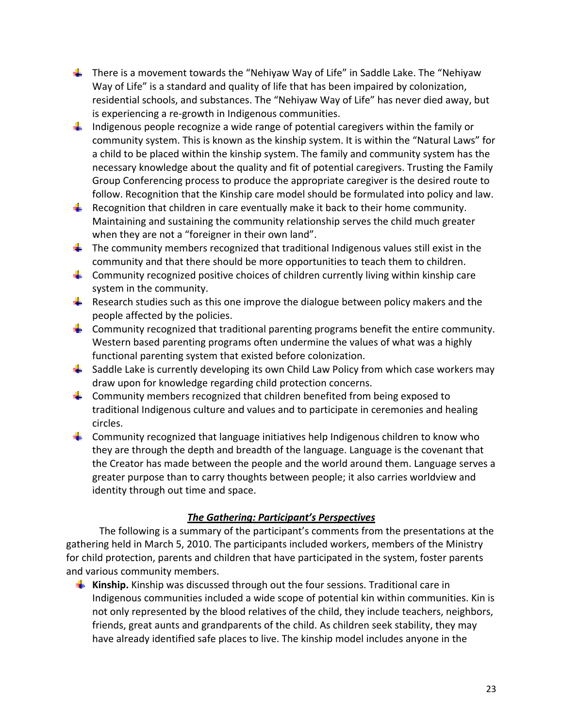- $\downarrow$  There is a movement towards the "Nehiyaw Way of Life" in Saddle Lake. The "Nehiyaw Way of Life" is a standard and quality of life that has been impaired by colonization, residential schools, and substances. The "Nehiyaw Way of Life" has never died away, but is experiencing a re‐growth in Indigenous communities.
- **I** Indigenous people recognize a wide range of potential caregivers within the family or community system. This is known as the kinship system. It is within the "Natural Laws" for a child to be placed within the kinship system. The family and community system has the necessary knowledge about the quality and fit of potential caregivers. Trusting the Family Group Conferencing process to produce the appropriate caregiver is the desired route to follow. Recognition that the Kinship care model should be formulated into policy and law.
- Recognition that children in care eventually make it back to their home community. Maintaining and sustaining the community relationship serves the child much greater when they are not a "foreigner in their own land".
- $\downarrow$  The community members recognized that traditional Indigenous values still exist in the community and that there should be more opportunities to teach them to children.
- $\downarrow$  Community recognized positive choices of children currently living within kinship care system in the community.
- **Research studies such as this one improve the dialogue between policy makers and the** people affected by the policies.
- $\downarrow$  Community recognized that traditional parenting programs benefit the entire community. Western based parenting programs often undermine the values of what was a highly functional parenting system that existed before colonization.
- $\frac{1}{2}$  Saddle Lake is currently developing its own Child Law Policy from which case workers may draw upon for knowledge regarding child protection concerns.
- $\frac{1}{2}$  Community members recognized that children benefited from being exposed to traditional Indigenous culture and values and to participate in ceremonies and healing circles.
- $\frac{1}{2}$  Community recognized that language initiatives help Indigenous children to know who they are through the depth and breadth of the language. Language is the covenant that the Creator has made between the people and the world around them. Language serves a greater purpose than to carry thoughts between people; it also carries worldview and identity through out time and space.

# *The Gathering: Participant's Perspectives*

The following is a summary of the participant's comments from the presentations at the gathering held in March 5, 2010. The participants included workers, members of the Ministry for child protection, parents and children that have participated in the system, foster parents and various community members.

**Kinship.** Kinship was discussed through out the four sessions. Traditional care in Indigenous communities included a wide scope of potential kin within communities. Kin is not only represented by the blood relatives of the child, they include teachers, neighbors, friends, great aunts and grandparents of the child. As children seek stability, they may have already identified safe places to live. The kinship model includes anyone in the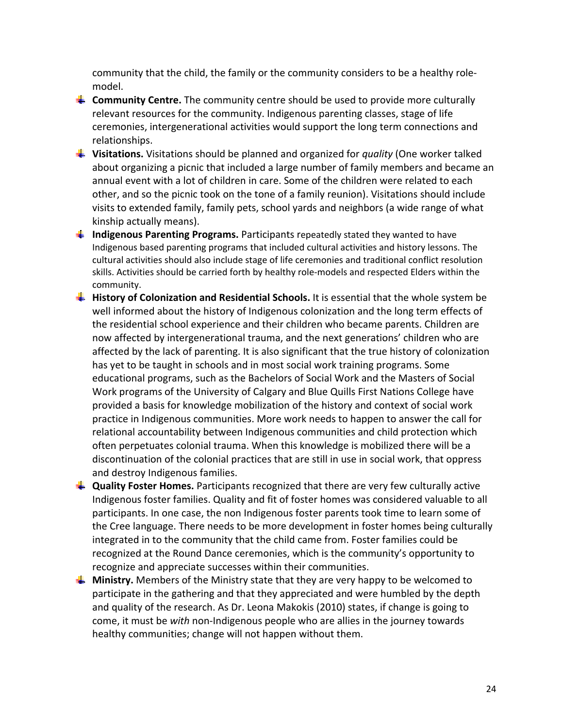community that the child, the family or the community considers to be a healthy role‐ model.

- **Community Centre.** The community centre should be used to provide more culturally relevant resources for the community. Indigenous parenting classes, stage of life ceremonies, intergenerational activities would support the long term connections and relationships.
- **Visitations.** Visitations should be planned and organized for *quality* (One worker talked about organizing a picnic that included a large number of family members and became an annual event with a lot of children in care. Some of the children were related to each other, and so the picnic took on the tone of a family reunion). Visitations should include visits to extended family, family pets, school yards and neighbors (a wide range of what kinship actually means).
- **Indigenous Parenting Programs.** Participants repeatedly stated they wanted to have Indigenous based parenting programs that included cultural activities and history lessons. The cultural activities should also include stage of life ceremonies and traditional conflict resolution skills. Activities should be carried forth by healthy role‐models and respected Elders within the community.
- **History of Colonization and Residential Schools.** It is essential that the whole system be well informed about the history of Indigenous colonization and the long term effects of the residential school experience and their children who became parents. Children are now affected by intergenerational trauma, and the next generations' children who are affected by the lack of parenting. It is also significant that the true history of colonization has yet to be taught in schools and in most social work training programs. Some educational programs, such as the Bachelors of Social Work and the Masters of Social Work programs of the University of Calgary and Blue Quills First Nations College have provided a basis for knowledge mobilization of the history and context of social work practice in Indigenous communities. More work needs to happen to answer the call for relational accountability between Indigenous communities and child protection which often perpetuates colonial trauma. When this knowledge is mobilized there will be a discontinuation of the colonial practices that are still in use in social work, that oppress and destroy Indigenous families.
- **Quality Foster Homes.** Participants recognized that there are very few culturally active Indigenous foster families. Quality and fit of foster homes was considered valuable to all participants. In one case, the non Indigenous foster parents took time to learn some of the Cree language. There needs to be more development in foster homes being culturally integrated in to the community that the child came from. Foster families could be recognized at the Round Dance ceremonies, which is the community's opportunity to recognize and appreciate successes within their communities.
- **Ministry.** Members of the Ministry state that they are very happy to be welcomed to participate in the gathering and that they appreciated and were humbled by the depth and quality of the research. As Dr. Leona Makokis (2010) states, if change is going to come, it must be *with* non‐Indigenous people who are allies in the journey towards healthy communities; change will not happen without them.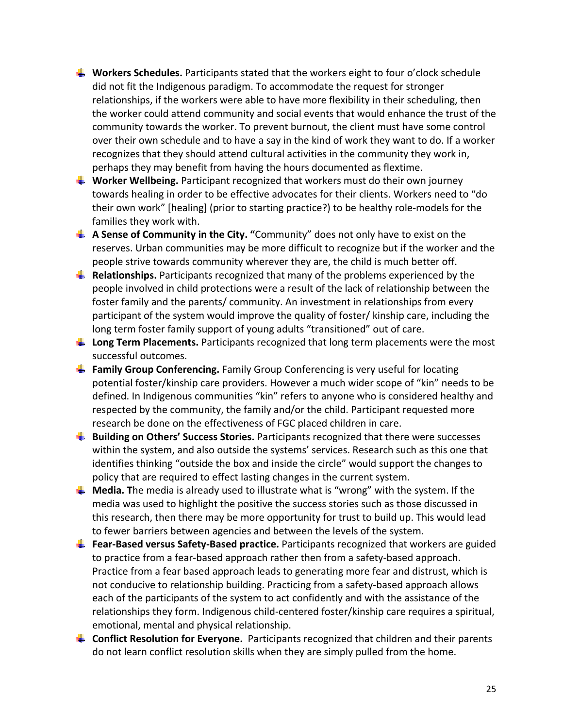- **Workers Schedules.** Participants stated that the workers eight to four o'clock schedule did not fit the Indigenous paradigm. To accommodate the request for stronger relationships, if the workers were able to have more flexibility in their scheduling, then the worker could attend community and social events that would enhance the trust of the community towards the worker. To prevent burnout, the client must have some control over their own schedule and to have a say in the kind of work they want to do. If a worker recognizes that they should attend cultural activities in the community they work in, perhaps they may benefit from having the hours documented as flextime.
- **Worker Wellbeing.** Participant recognized that workers must do their own journey towards healing in order to be effective advocates for their clients. Workers need to "do their own work" [healing] (prior to starting practice?) to be healthy role‐models for the families they work with.
- **A Sense of Community in the City. "**Community" does not only have to exist on the reserves. Urban communities may be more difficult to recognize but if the worker and the people strive towards community wherever they are, the child is much better off.
- **EXPEDENTIFY Relationships.** Participants recognized that many of the problems experienced by the people involved in child protections were a result of the lack of relationship between the foster family and the parents/ community. An investment in relationships from every participant of the system would improve the quality of foster/ kinship care, including the long term foster family support of young adults "transitioned" out of care.
- **Long Term Placements.** Participants recognized that long term placements were the most successful outcomes.
- **Family Group Conferencing.** Family Group Conferencing is very useful for locating potential foster/kinship care providers. However a much wider scope of "kin" needs to be defined. In Indigenous communities "kin" refers to anyone who is considered healthy and respected by the community, the family and/or the child. Participant requested more research be done on the effectiveness of FGC placed children in care.
- **Building on Others' Success Stories.** Participants recognized that there were successes within the system, and also outside the systems' services. Research such as this one that identifies thinking "outside the box and inside the circle" would support the changes to policy that are required to effect lasting changes in the current system.
- **L** Media. The media is already used to illustrate what is "wrong" with the system. If the media was used to highlight the positive the success stories such as those discussed in this research, then there may be more opportunity for trust to build up. This would lead to fewer barriers between agencies and between the levels of the system.
- **Fear‐Based versus Safety‐Based practice.** Participants recognized that workers are guided to practice from a fear‐based approach rather then from a safety‐based approach. Practice from a fear based approach leads to generating more fear and distrust, which is not conducive to relationship building. Practicing from a safety‐based approach allows each of the participants of the system to act confidently and with the assistance of the relationships they form. Indigenous child‐centered foster/kinship care requires a spiritual, emotional, mental and physical relationship.
- **Conflict Resolution for Everyone.** Participants recognized that children and their parents do not learn conflict resolution skills when they are simply pulled from the home.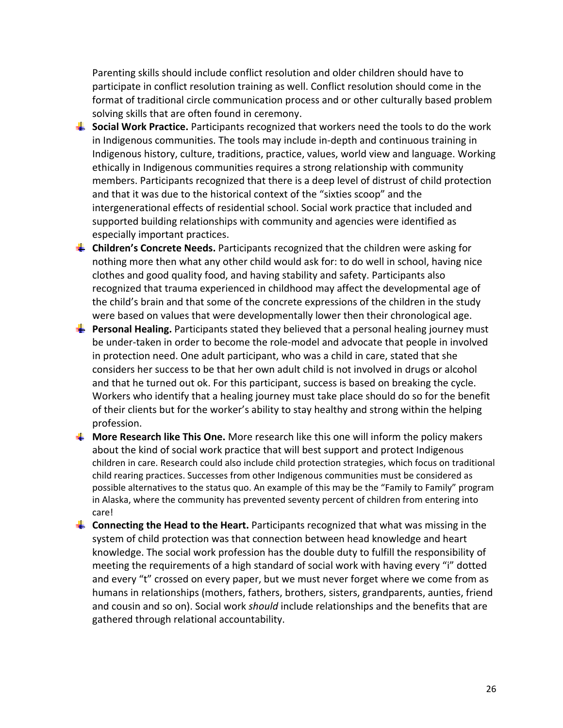Parenting skills should include conflict resolution and older children should have to participate in conflict resolution training as well. Conflict resolution should come in the format of traditional circle communication process and or other culturally based problem solving skills that are often found in ceremony.

- **Social Work Practice.** Participants recognized that workers need the tools to do the work in Indigenous communities. The tools may include in‐depth and continuous training in Indigenous history, culture, traditions, practice, values, world view and language. Working ethically in Indigenous communities requires a strong relationship with community members. Participants recognized that there is a deep level of distrust of child protection and that it was due to the historical context of the "sixties scoop" and the intergenerational effects of residential school. Social work practice that included and supported building relationships with community and agencies were identified as especially important practices.
- **Children's Concrete Needs.** Participants recognized that the children were asking for nothing more then what any other child would ask for: to do well in school, having nice clothes and good quality food, and having stability and safety. Participants also recognized that trauma experienced in childhood may affect the developmental age of the child's brain and that some of the concrete expressions of the children in the study were based on values that were developmentally lower then their chronological age.
- **Personal Healing.** Participants stated they believed that a personal healing journey must be under‐taken in order to become the role‐model and advocate that people in involved in protection need. One adult participant, who was a child in care, stated that she considers her success to be that her own adult child is not involved in drugs or alcohol and that he turned out ok. For this participant, success is based on breaking the cycle. Workers who identify that a healing journey must take place should do so for the benefit of their clients but for the worker's ability to stay healthy and strong within the helping profession.
- **More Research like This One.** More research like this one will inform the policy makers about the kind of social work practice that will best support and protect Indigenous children in care. Research could also include child protection strategies, which focus on traditional child rearing practices. Successes from other Indigenous communities must be considered as possible alternatives to the status quo. An example of this may be the "Family to Family" program in Alaska, where the community has prevented seventy percent of children from entering into care!
- **Connecting the Head to the Heart.** Participants recognized that what was missing in the system of child protection was that connection between head knowledge and heart knowledge. The social work profession has the double duty to fulfill the responsibility of meeting the requirements of a high standard of social work with having every "i" dotted and every "t" crossed on every paper, but we must never forget where we come from as humans in relationships (mothers, fathers, brothers, sisters, grandparents, aunties, friend and cousin and so on). Social work *should* include relationships and the benefits that are gathered through relational accountability.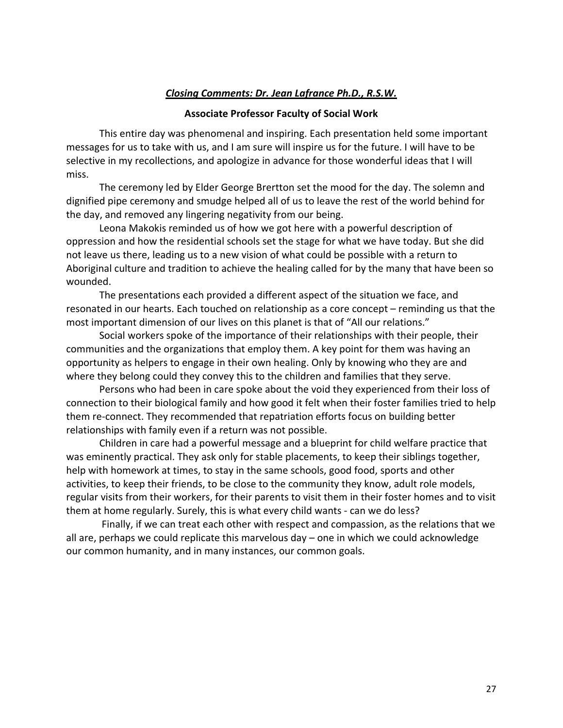## *Closing Comments: Dr. Jean Lafrance Ph.D., R.S.W.*

### **Associate Professor Faculty of Social Work**

This entire day was phenomenal and inspiring. Each presentation held some important messages for us to take with us, and I am sure will inspire us for the future. I will have to be selective in my recollections, and apologize in advance for those wonderful ideas that I will miss.

The ceremony led by Elder George Brertton set the mood for the day. The solemn and dignified pipe ceremony and smudge helped all of us to leave the rest of the world behind for the day, and removed any lingering negativity from our being.

Leona Makokis reminded us of how we got here with a powerful description of oppression and how the residential schools set the stage for what we have today. But she did not leave us there, leading us to a new vision of what could be possible with a return to Aboriginal culture and tradition to achieve the healing called for by the many that have been so wounded.

The presentations each provided a different aspect of the situation we face, and resonated in our hearts. Each touched on relationship as a core concept – reminding us that the most important dimension of our lives on this planet is that of "All our relations."

Social workers spoke of the importance of their relationships with their people, their communities and the organizations that employ them. A key point for them was having an opportunity as helpers to engage in their own healing. Only by knowing who they are and where they belong could they convey this to the children and families that they serve.

Persons who had been in care spoke about the void they experienced from their loss of connection to their biological family and how good it felt when their foster families tried to help them re‐connect. They recommended that repatriation efforts focus on building better relationships with family even if a return was not possible.

Children in care had a powerful message and a blueprint for child welfare practice that was eminently practical. They ask only for stable placements, to keep their siblings together, help with homework at times, to stay in the same schools, good food, sports and other activities, to keep their friends, to be close to the community they know, adult role models, regular visits from their workers, for their parents to visit them in their foster homes and to visit them at home regularly. Surely, this is what every child wants ‐ can we do less?

Finally, if we can treat each other with respect and compassion, as the relations that we all are, perhaps we could replicate this marvelous day – one in which we could acknowledge our common humanity, and in many instances, our common goals.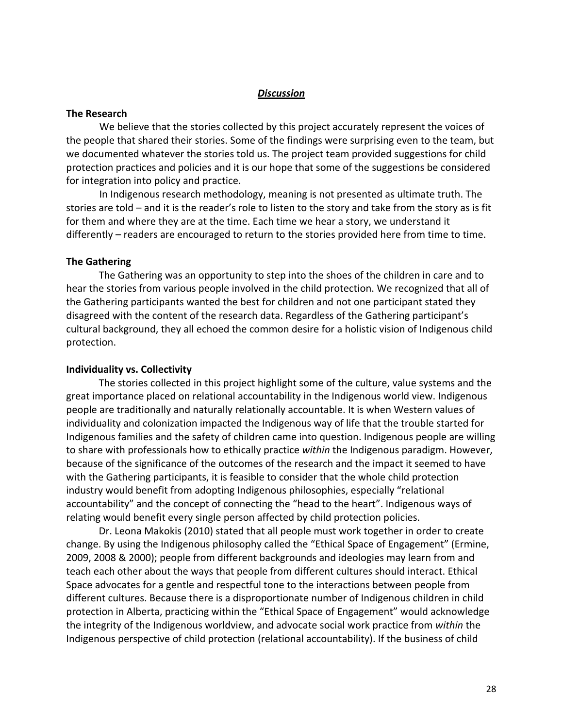### *Discussion*

#### **The Research**

We believe that the stories collected by this project accurately represent the voices of the people that shared their stories. Some of the findings were surprising even to the team, but we documented whatever the stories told us. The project team provided suggestions for child protection practices and policies and it is our hope that some of the suggestions be considered for integration into policy and practice.

In Indigenous research methodology, meaning is not presented as ultimate truth. The stories are told – and it is the reader's role to listen to the story and take from the story as is fit for them and where they are at the time. Each time we hear a story, we understand it differently – readers are encouraged to return to the stories provided here from time to time.

#### **The Gathering**

The Gathering was an opportunity to step into the shoes of the children in care and to hear the stories from various people involved in the child protection. We recognized that all of the Gathering participants wanted the best for children and not one participant stated they disagreed with the content of the research data. Regardless of the Gathering participant's cultural background, they all echoed the common desire for a holistic vision of Indigenous child protection.

#### **Individuality vs. Collectivity**

The stories collected in this project highlight some of the culture, value systems and the great importance placed on relational accountability in the Indigenous world view. Indigenous people are traditionally and naturally relationally accountable. It is when Western values of individuality and colonization impacted the Indigenous way of life that the trouble started for Indigenous families and the safety of children came into question. Indigenous people are willing to share with professionals how to ethically practice *within* the Indigenous paradigm. However, because of the significance of the outcomes of the research and the impact it seemed to have with the Gathering participants, it is feasible to consider that the whole child protection industry would benefit from adopting Indigenous philosophies, especially "relational accountability" and the concept of connecting the "head to the heart". Indigenous ways of relating would benefit every single person affected by child protection policies.

Dr. Leona Makokis (2010) stated that all people must work together in order to create change. By using the Indigenous philosophy called the "Ethical Space of Engagement" (Ermine, 2009, 2008 & 2000); people from different backgrounds and ideologies may learn from and teach each other about the ways that people from different cultures should interact. Ethical Space advocates for a gentle and respectful tone to the interactions between people from different cultures. Because there is a disproportionate number of Indigenous children in child protection in Alberta, practicing within the "Ethical Space of Engagement" would acknowledge the integrity of the Indigenous worldview, and advocate social work practice from *within* the Indigenous perspective of child protection (relational accountability). If the business of child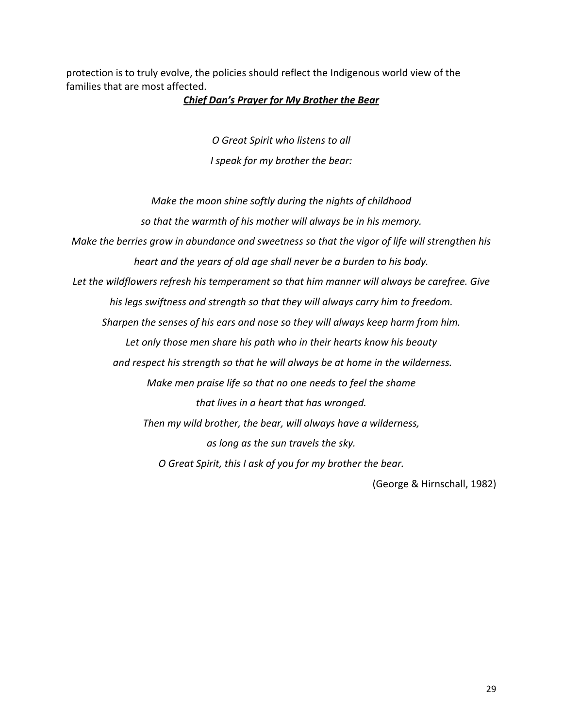protection is to truly evolve, the policies should reflect the Indigenous world view of the families that are most affected.

#### *Chief Dan's Prayer for My Brother the Bear*

*O Great Spirit who listens to all I speak for my brother the bear:*

*Make the moon shine softly during the nights of childhood so that the warmth of his mother will always be in his memory. Make the berries grow in abundance and sweetness so that the vigor of life will strengthen his heart and the years of old age shall never be a burden to his body. Let the wildflowers refresh his temperament so that him manner will always be carefree. Give his legs swiftness and strength so that they will always carry him to freedom. Sharpen the senses of his ears and nose so they will always keep harm from him. Let only those men share his path who in their hearts know his beauty and respect his strength so that he will always be at home in the wilderness. Make men praise life so that no one needs to feel the shame that lives in a heart that has wronged. Then my wild brother, the bear, will always have a wilderness, as long as the sun travels the sky. O Great Spirit, this I ask of you for my brother the bear.*

(George & Hirnschall, 1982)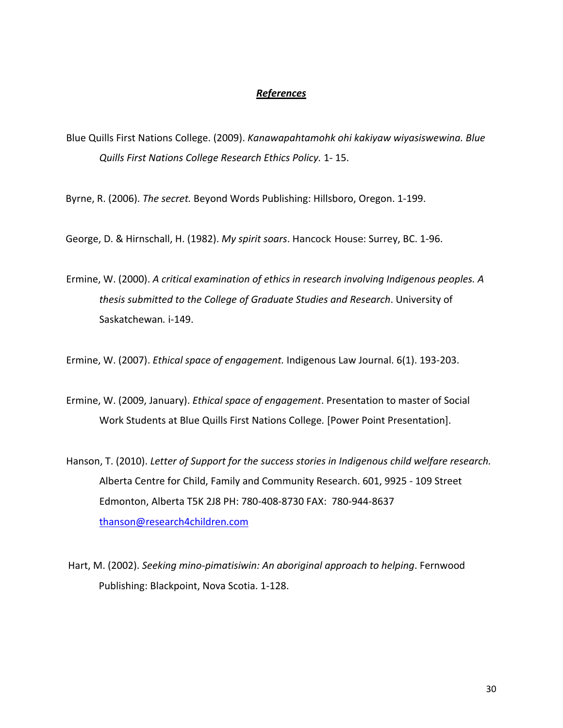#### *References*

Blue Quills First Nations College. (2009). *Kanawapahtamohk ohi kakiyaw wiyasiswewina. Blue Quills First Nations College Research Ethics Policy.* 1‐ 15.

Byrne, R. (2006). *The secret.* Beyond Words Publishing: Hillsboro, Oregon. 1‐199.

George, D. & Hirnschall, H. (1982). *My spirit soars*. Hancock House: Surrey, BC. 1‐96.

Ermine, W. (2000). *A critical examination of ethics in research involving Indigenous peoples. A thesis submitted to the College of Graduate Studies and Research*. University of Saskatchewan*.* i‐149.

Ermine, W. (2007). *Ethical space of engagement.* Indigenous Law Journal. 6(1). 193‐203.

Ermine, W. (2009, January). *Ethical space of engagement*. Presentation to master of Social Work Students at Blue Quills First Nations College*.* [Power Point Presentation].

- Hanson, T. (2010). *Letter of Support for the success stories in Indigenous child welfare research.* Alberta Centre for Child, Family and Community Research. 601, 9925 ‐ 109 Street Edmonton, Alberta T5K 2J8 PH: 780‐408‐8730 FAX: 780‐944‐8637 thanson@research4children.com
- Hart, M. (2002). *Seeking mino‐pimatisiwin: An aboriginal approach to helping*. Fernwood Publishing: Blackpoint, Nova Scotia. 1‐128.